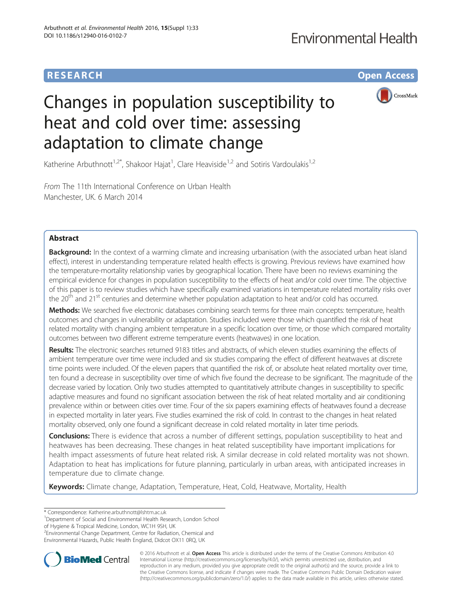# **RESEARCH CHE Open Access**



# Changes in population susceptibility to heat and cold over time: assessing adaptation to climate change

Katherine Arbuthnott<sup>1,2\*</sup>, Shakoor Hajat<sup>1</sup>, Clare Heaviside<sup>1,2</sup> and Sotiris Vardoulakis<sup>1,2</sup>

From The 11th International Conference on Urban Health Manchester, UK. 6 March 2014

# Abstract

Background: In the context of a warming climate and increasing urbanisation (with the associated urban heat island effect), interest in understanding temperature related health effects is growing. Previous reviews have examined how the temperature-mortality relationship varies by geographical location. There have been no reviews examining the empirical evidence for changes in population susceptibility to the effects of heat and/or cold over time. The objective of this paper is to review studies which have specifically examined variations in temperature related mortality risks over the 20<sup>th</sup> and 21<sup>st</sup> centuries and determine whether population adaptation to heat and/or cold has occurred.

Methods: We searched five electronic databases combining search terms for three main concepts: temperature, health outcomes and changes in vulnerability or adaptation. Studies included were those which quantified the risk of heat related mortality with changing ambient temperature in a specific location over time, or those which compared mortality outcomes between two different extreme temperature events (heatwaves) in one location.

Results: The electronic searches returned 9183 titles and abstracts, of which eleven studies examining the effects of ambient temperature over time were included and six studies comparing the effect of different heatwaves at discrete time points were included. Of the eleven papers that quantified the risk of, or absolute heat related mortality over time, ten found a decrease in susceptibility over time of which five found the decrease to be significant. The magnitude of the decrease varied by location. Only two studies attempted to quantitatively attribute changes in susceptibility to specific adaptive measures and found no significant association between the risk of heat related mortality and air conditioning prevalence within or between cities over time. Four of the six papers examining effects of heatwaves found a decrease in expected mortality in later years. Five studies examined the risk of cold. In contrast to the changes in heat related mortality observed, only one found a significant decrease in cold related mortality in later time periods.

Conclusions: There is evidence that across a number of different settings, population susceptibility to heat and heatwaves has been decreasing. These changes in heat related susceptibility have important implications for health impact assessments of future heat related risk. A similar decrease in cold related mortality was not shown. Adaptation to heat has implications for future planning, particularly in urban areas, with anticipated increases in temperature due to climate change.

Keywords: Climate change, Adaptation, Temperature, Heat, Cold, Heatwave, Mortality, Health

Environmental Hazards, Public Health England, Didcot OX11 0RQ, UK



© 2016 Arbuthnott et al. Open Access This article is distributed under the terms of the Creative Commons Attribution 4.0 International License [\(http://creativecommons.org/licenses/by/4.0/](http://creativecommons.org/licenses/by/4.0/)), which permits unrestricted use, distribution, and reproduction in any medium, provided you give appropriate credit to the original author(s) and the source, provide a link to the Creative Commons license, and indicate if changes were made. The Creative Commons Public Domain Dedication waiver [\(http://creativecommons.org/publicdomain/zero/1.0/](http://creativecommons.org/publicdomain/zero/1.0/)) applies to the data made available in this article, unless otherwise stated.

<sup>\*</sup> Correspondence: [Katherine.arbuthnott@lshtm.ac.uk](mailto:Katherine.arbuthnott@lshtm.ac.uk) <sup>1</sup>

<sup>&</sup>lt;sup>1</sup>Department of Social and Environmental Health Research, London School

of Hygiene & Tropical Medicine, London, WC1H 9SH, UK

<sup>&</sup>lt;sup>2</sup> Environmental Change Department, Centre for Radiation, Chemical and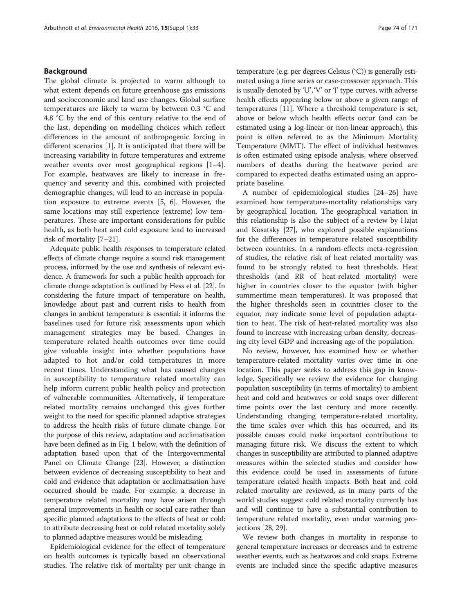## Background

The global climate is projected to warm although to what extent depends on future greenhouse gas emissions and socioeconomic and land use changes. Global surface temperatures are likely to warm by between 0.3 °C and 4.8 °C by the end of this century relative to the end of the last, depending on modelling choices which reflect differences in the amount of anthropogenic forcing in different scenarios [[1\]](#page-18-0). It is anticipated that there will be increasing variability in future temperatures and extreme weather events over most geographical regions [\[1](#page-18-0)–[4](#page-18-0)]. For example, heatwaves are likely to increase in frequency and severity and this, combined with projected demographic changes, will lead to an increase in population exposure to extreme events [\[5](#page-19-0), [6\]](#page-19-0). However, the same locations may still experience (extreme) low temperatures. These are important considerations for public health, as both heat and cold exposure lead to increased risk of mortality [[7](#page-19-0)–[21](#page-19-0)].

Adequate public health responses to temperature related effects of climate change require a sound risk management process, informed by the use and synthesis of relevant evidence. A framework for such a public health approach for climate change adaptation is outlined by Hess et al. [[22](#page-19-0)]. In considering the future impact of temperature on health, knowledge about past and current risks to health from changes in ambient temperature is essential: it informs the baselines used for future risk assessments upon which management strategies may be based. Changes in temperature related health outcomes over time could give valuable insight into whether populations have adapted to hot and/or cold temperatures in more recent times. Understanding what has caused changes in susceptibility to temperature related mortality can help inform current public health policy and protection of vulnerable communities. Alternatively, if temperature related mortality remains unchanged this gives further weight to the need for specific planned adaptive strategies to address the health risks of future climate change. For the purpose of this review, adaptation and acclimatisation have been defined as in Fig. [1](#page-2-0) below, with the definition of adaptation based upon that of the Intergovernmental Panel on Climate Change [\[23\]](#page-19-0). However, a distinction between evidence of decreasing susceptibility to heat and cold and evidence that adaptation or acclimatisation have occurred should be made. For example, a decrease in temperature related mortality may have arisen through general improvements in health or social care rather than specific planned adaptations to the effects of heat or cold: to attribute decreasing heat or cold related mortality solely to planned adaptive measures would be misleading.

Epidemiological evidence for the effect of temperature on health outcomes is typically based on observational studies. The relative risk of mortality per unit change in temperature (e.g. per degrees Celsius (°C)) is generally estimated using a time series or case-crossover approach. This is usually denoted by 'U','V' or 'J' type curves, with adverse health effects appearing below or above a given range of temperatures [\[11\]](#page-19-0). Where a threshold temperature is set, above or below which health effects occur (and can be estimated using a log-linear or non-linear approach), this point is often referred to as the Minimum Mortality Temperature (MMT). The effect of individual heatwaves is often estimated using episode analysis, where observed numbers of deaths during the heatwave period are compared to expected deaths estimated using an appropriate baseline.

A number of epidemiological studies [\[24](#page-19-0)–[26\]](#page-19-0) have examined how temperature-mortality relationships vary by geographical location. The geographical variation in this relationship is also the subject of a review by Hajat and Kosatsky [\[27](#page-19-0)], who explored possible explanations for the differences in temperature related susceptibility between countries. In a random-effects meta-regression of studies, the relative risk of heat related mortality was found to be strongly related to heat thresholds. Heat thresholds (and RR of heat-related mortality) were higher in countries closer to the equator (with higher summertime mean temperatures). It was proposed that the higher thresholds seen in countries closer to the equator, may indicate some level of population adaptation to heat. The risk of heat-related mortality was also found to increase with increasing urban density, decreasing city level GDP and increasing age of the population.

No review, however, has examined how or whether temperature-related mortality varies over time in one location. This paper seeks to address this gap in knowledge. Specifically we review the evidence for changing population susceptibility (in terms of mortality) to ambient heat and cold and heatwaves or cold snaps over different time points over the last century and more recently. Understanding changing temperature-related mortality, the time scales over which this has occurred, and its possible causes could make important contributions to managing future risk. We discuss the extent to which changes in susceptibility are attributed to planned adaptive measures within the selected studies and consider how this evidence could be used in assessments of future temperature related health impacts. Both heat and cold related mortality are reviewed, as in many parts of the world studies suggest cold related mortality currently has and will continue to have a substantial contribution to temperature related mortality, even under warming projections [\[28, 29\]](#page-19-0).

We review both changes in mortality in response to general temperature increases or decreases and to extreme weather events, such as heatwaves and cold snaps. Extreme events are included since the specific adaptive measures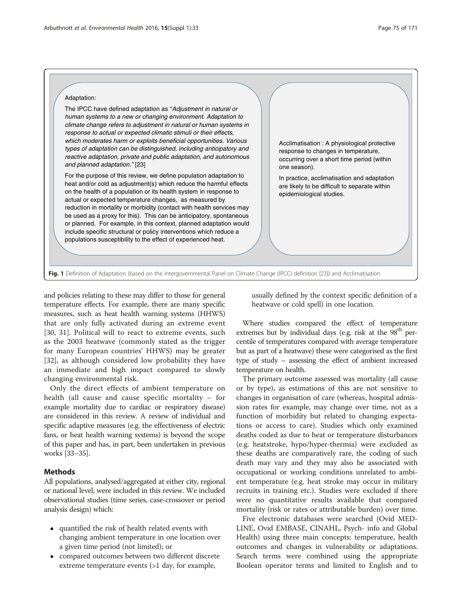<span id="page-2-0"></span>

and policies relating to these may differ to those for general temperature effects. For example, there are many specific measures, such as heat health warning systems (HHWS) that are only fully activated during an extreme event [[30, 31](#page-19-0)]. Political will to react to extreme events, such as the 2003 heatwave (commonly stated as the trigger for many European countries' HHWS) may be greater [[32\]](#page-19-0), as although considered low probability they have an immediate and high impact compared to slowly changing environmental risk.

Only the direct effects of ambient temperature on health (all cause and cause specific mortality – for example mortality due to cardiac or respiratory disease) are considered in this review. A review of individual and specific adaptive measures (e.g. the effectiveness of electric fans, or heat health warning systems) is beyond the scope of this paper and has, in part, been undertaken in previous works [\[33](#page-19-0)–[35\]](#page-19-0).

# Methods

All populations, analysed/aggregated at either city, regional or national level, were included in this review. We included observational studies (time series, case-crossover or period analysis design) which:

- quantified the risk of health related events with changing ambient temperature in one location over a given time period (not limited); or
- compared outcomes between two different discrete extreme temperature events (>1 day, for example,

usually defined by the context specific definition of a heatwave or cold spell) in one location.

Where studies compared the effect of temperature extremes but by individual days (e.g. risk at the  $98<sup>th</sup>$  percentile of temperatures compared with average temperature but as part of a heatwave) these were categorised as the first type of study – assessing the effect of ambient increased temperature on health.

The primary outcome assessed was mortality (all cause or by type), as estimations of this are not sensitive to changes in organisation of care (whereas, hospital admission rates for example, may change over time, not as a function of morbidity but related to changing expectations or access to care). Studies which only examined deaths coded as due to heat or temperature disturbances (e.g. heatstroke, hypo/hyper-thermia) were excluded as these deaths are comparatively rare, the coding of such death may vary and they may also be associated with occupational or working conditions unrelated to ambient temperature (e.g. heat stroke may occur in military recruits in training etc.). Studies were excluded if there were no quantitative results available that compared mortality (risk or rates or attributable burden) over time.

Five electronic databases were searched (Ovid MED-LINE, Ovid EMBASE, CINAHL, Psych- info and Global Health) using three main concepts: temperature, health outcomes and changes in vulnerability or adaptations. Search terms were combined using the appropriate Boolean operator terms and limited to English and to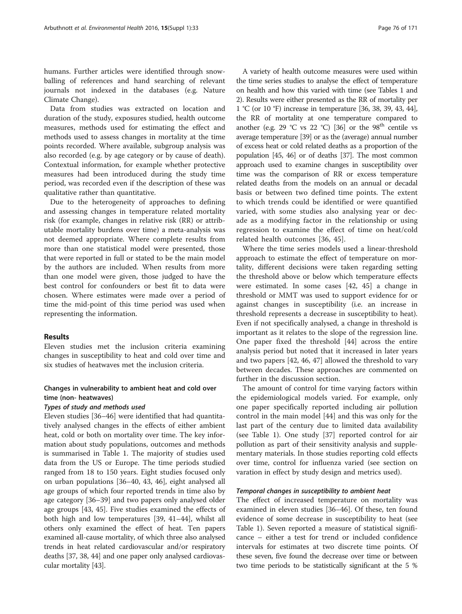humans. Further articles were identified through snowballing of references and hand searching of relevant journals not indexed in the databases (e.g. Nature Climate Change).

Data from studies was extracted on location and duration of the study, exposures studied, health outcome measures, methods used for estimating the effect and methods used to assess changes in mortality at the time points recorded. Where available, subgroup analysis was also recorded (e.g. by age category or by cause of death). Contextual information, for example whether protective measures had been introduced during the study time period, was recorded even if the description of these was qualitative rather than quantitative.

Due to the heterogeneity of approaches to defining and assessing changes in temperature related mortality risk (for example, changes in relative risk (RR) or attributable mortality burdens over time) a meta-analysis was not deemed appropriate. Where complete results from more than one statistical model were presented, those that were reported in full or stated to be the main model by the authors are included. When results from more than one model were given, those judged to have the best control for confounders or best fit to data were chosen. Where estimates were made over a period of time the mid-point of this time period was used when representing the information.

#### Results

Eleven studies met the inclusion criteria examining changes in susceptibility to heat and cold over time and six studies of heatwaves met the inclusion criteria.

## Changes in vulnerability to ambient heat and cold over time (non- heatwaves)

#### Types of study and methods used

Eleven studies [[36](#page-19-0)–[46\]](#page-19-0) were identified that had quantitatively analysed changes in the effects of either ambient heat, cold or both on mortality over time. The key information about study populations, outcomes and methods is summarised in Table [1](#page-4-0). The majority of studies used data from the US or Europe. The time periods studied ranged from 18 to 150 years. Eight studies focused only on urban populations [\[36](#page-19-0)–[40, 43](#page-19-0), [46\]](#page-19-0), eight analysed all age groups of which four reported trends in time also by age category [[36](#page-19-0)–[39](#page-19-0)] and two papers only analysed older age groups [\[43, 45](#page-19-0)]. Five studies examined the effects of both high and low temperatures [\[39, 41](#page-19-0)–[44\]](#page-19-0), whilst all others only examined the effect of heat. Ten papers examined all-cause mortality, of which three also analysed trends in heat related cardiovascular and/or respiratory deaths [\[37, 38](#page-19-0), [44\]](#page-19-0) and one paper only analysed cardiovascular mortality [\[43](#page-19-0)].

A variety of health outcome measures were used within the time series studies to analyse the effect of temperature on health and how this varied with time (see Tables [1](#page-4-0) and [2](#page-6-0)). Results were either presented as the RR of mortality per 1 °C (or 10 °F) increase in temperature [[36, 38, 39](#page-19-0), [43, 44](#page-19-0)], the RR of mortality at one temperature compared to another (e.g. 29 °C vs 22 °C) [\[36\]](#page-19-0) or the 98<sup>th</sup> centile vs average temperature [[39](#page-19-0)] or as the (average) annual number of excess heat or cold related deaths as a proportion of the population [\[45](#page-19-0), [46\]](#page-19-0) or of deaths [[37](#page-19-0)]. The most common approach used to examine changes in susceptibility over time was the comparison of RR or excess temperature related deaths from the models on an annual or decadal basis or between two defined time points. The extent to which trends could be identified or were quantified varied, with some studies also analysing year or decade as a modifying factor in the relationship or using regression to examine the effect of time on heat/cold related health outcomes [[36](#page-19-0), [45](#page-19-0)].

Where the time series models used a linear-threshold approach to estimate the effect of temperature on mortality, different decisions were taken regarding setting the threshold above or below which temperature effects were estimated. In some cases [\[42, 45\]](#page-19-0) a change in threshold or MMT was used to support evidence for or against changes in susceptibility (i.e. an increase in threshold represents a decrease in susceptibility to heat). Even if not specifically analysed, a change in threshold is important as it relates to the slope of the regression line. One paper fixed the threshold [\[44](#page-19-0)] across the entire analysis period but noted that it increased in later years and two papers [\[42](#page-19-0), [46](#page-19-0), [47](#page-19-0)] allowed the threshold to vary between decades. These approaches are commented on further in the discussion section.

The amount of control for time varying factors within the epidemiological models varied. For example, only one paper specifically reported including air pollution control in the main model [[44\]](#page-19-0) and this was only for the last part of the century due to limited data availability (see Table [1\)](#page-4-0). One study [\[37](#page-19-0)] reported control for air pollution as part of their sensitivity analysis and supplementary materials. In those studies reporting cold effects over time, control for influenza varied (see section on varation in effect by study design and metrics used).

# Temporal changes in susceptibility to ambient heat

The effect of increased temperature on mortality was examined in eleven studies [\[36](#page-19-0)–[46\]](#page-19-0). Of these, ten found evidence of some decrease in susceptibility to heat (see Table [1\)](#page-4-0). Seven reported a measure of statistical significance – either a test for trend or included confidence intervals for estimates at two discrete time points. Of these seven, five found the decrease over time or between two time periods to be statistically significant at the 5 %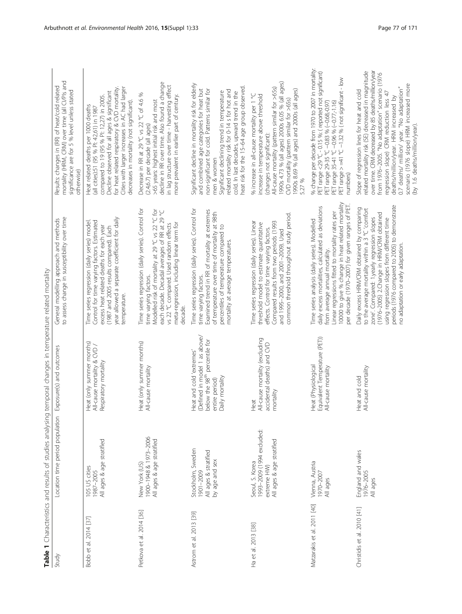<span id="page-4-0"></span>

| Study                       | Location time period population                                                          | Exposure(s) and outcomes                                                                                                                    | General modelling approach and methods<br>to assess change in susceptibility over time                                                                                                                                                                                                                                          | mortality (HRM, CRM) over time (all CI/PIs and<br>Results: changes in (RR) of heat/cold related<br>significance are for 5 % level unless stated<br>otherwise)                                                                                                                                                                                                                                                            |
|-----------------------------|------------------------------------------------------------------------------------------|---------------------------------------------------------------------------------------------------------------------------------------------|---------------------------------------------------------------------------------------------------------------------------------------------------------------------------------------------------------------------------------------------------------------------------------------------------------------------------------|--------------------------------------------------------------------------------------------------------------------------------------------------------------------------------------------------------------------------------------------------------------------------------------------------------------------------------------------------------------------------------------------------------------------------|
| Bobb et al. 2014 [37]       | All ages & age stratified<br>105 US cities<br>1987-2005                                  | Heat (only summer months)<br>All-cause mortality & CVD<br>Respiratory mortality                                                             | year allowed a separate coefficient for daily<br>Control for time varying factors. Estimated<br>Time series regression (daily series) model<br>excess heat related deaths for each year<br>(1987 and 2005 results compared). Each<br>temperature.                                                                               | for heat related respiratory & CVD mortality.<br>Cities with larger increases in AC had larger<br>Decline observed for all ages & significant<br>compared to 19 (95 % Pl: 12,27) in 2005.<br>decreases in mortality (not significant).<br>Heat related deaths per 1000 deaths<br>(all cities):51 (95 % Pl: 42,61) in 1987                                                                                                |
| Petkova et al. 2014 [36]    | 1900-1948 & 1973-2006<br>All ages & age stratified<br>New York (US)                      | Heat (only summer months)<br>All-cause mortality                                                                                            | Time series regression (daily series). Control for<br>Modelled risk of mortality at 29 °C vs 22 °C for<br>each decade. Decadal averages of RR at 29 °C<br>meta-regression, including linear term for<br>vs 22 °C compared. Used random effects<br>time varying factors.<br>decade.                                              | decline in RR over time. Also found a change<br>in lag structure over time - harvesting effect<br>℅<br>more prevalent in earlier part of century.<br>Decrease in RR at 29 °C vs 22 °C of 4.6<br>>65 years: highest initial risk and most<br>(2.4,6.7) per decade (all ages)                                                                                                                                              |
| Astrom et al. 2013 [39]     | Stockholm, Sweden<br>All ages & stratified<br>by age and sex<br>1901-2009                | (Defined in model 1 as above/<br>below the 98 <sup>th</sup> percentile for<br>Heat and cold 'extremes'<br>Daily mortality<br>entire period) | Time series regression (daily series). Control for<br>Examined trend in RR of mortality at extremes<br>of temperature over time of mortality at 98th<br>percentiles of temperature compared to<br>mortality at average temperatures.<br>time varying factors.                                                                   | Significant decline in mortality risk for elderly<br>heat risk for the 15-64 age group observed.<br>and combined age categories for heat but<br>non-significant for cold. Patterns similar for<br>related mortality risk for 0-14 s for hot and<br>cold. In last decades, upward trend in the<br>Significant declining trend in temperature<br>men & women                                                               |
| Ha et al. 2013 [38]         | 1993-2009 (1994 excluded:<br>All ages & age stratified<br>Seoul, S. Korea<br>extreme HW) | All-cause mortality (excluding<br>accidental deaths) and CVD<br>mortality<br>Heat                                                           | common threshold throughout study period.<br>Compared results from two periods (1993<br>Time series regression (daily series). Linear<br>threshold model to estimate quantitative<br>effects. Control for time varying factors.<br>and 1995-2000, and 2001-2009). Used                                                          | 1990s 4.73 % (all ages) 2000s 6.05 % (all ages)<br>All-cause mortality (pattern similar for >65s)<br>990s 8.69 % (all ages) and 2000s (all ages)<br>ncrease in temperature above threshold<br>% increase in all-cause mortality per 1 °C<br>CVD mortality (pattern similar for >65s)<br>(changes not significant):<br>5.27 %                                                                                             |
| Matzarakis et al. 2011 [40] | Vienna, Austria<br>1970-2007<br>All ages                                                 | Equivalent Temperature (PET))<br>Heat (Physiological<br>All-cause mortality                                                                 | 10000 to give % change in heat related mortality<br>daily excess mortalities, calculated as deviations<br>per decade (1970–2007) for given ranges of PET<br>Linear regressions fitted to mortality rates per<br>Time series analysis (daily series). Modelled<br>from average annual mortality.                                 | % change per decade from 1970 to 2007 in mortality.<br>PET range <29 °C - 0.15 %: (reported not significant)<br>PET range > =41 °C -1.32 % (not significant - low<br>PET range 29-35 °C -0.83 % (-0.68-0.97)<br>PET range 35-41 °C -0.96 % (-0.77,-1.16)<br>numbers)                                                                                                                                                     |
| Christidis et al. 2010 [41] | England and wales<br>1976-2005<br>All ages                                               | All-cause mortality<br>Heat and cold                                                                                                        | periods (1976 compared to 2005) to demonstrate<br>Daily excess HRM/CRM obtained by comparing<br>to the average mortality within a 3 °C 'comfort<br>(1976-2005) 2.Change in HRM/CRM obtained<br>zone'. Compared: 1.yearly regression slopes<br>using regression slopes from different time<br>no adaptation or early adaptation. | related mortality risk (SE) decreased in magnitude<br>over time. CRM decreased by 85 deaths/million/year<br>from 1976-2005. "No adaptation" scenario (1976<br>scenario (1976 slope) HRM increased more<br>0.7 deaths/ million/ year. "No adaptation"<br>Slope of regression lines for heat and cold<br>regression slope) CRM reduction less 47<br>deaths/million/year. HRM increased by<br>(by 1.6 deaths/million/year). |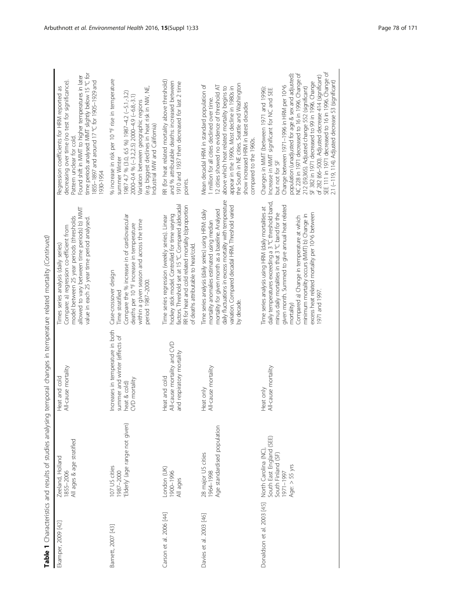Table 1 Characteristics and results of studies analysing temporal changes in temperature related mortality (Continued) Table 1 Characteristics and results of studies analysing temporal changes in temperature related mortality (Continued)

| Ekamper, 2009 [42]         | All ages & age stratified<br>Zeeland, Holland<br>1855-2006                                           | All-cause mortality<br>Heat and cold                                                              | allowed to vary between time periods) b) MMT<br>model between 25 year periods (thresholds<br>value in each 25 year time period analysed<br>Compare: a) regression co-efficient from<br>Times series analysis (daily series)                                                                                                                                                                        | time periods analysed: MMT slightly below 15 °C for<br>Found shift in MMT to higher temperatures in later<br>decreasing over time (no test for significance).<br>1855-1897 and around 17 °C for 1905-1929 and<br>Regression coefficients for HRM reported as<br>Pattern unclear for cold.<br>930-1954                                                                                                                                                                                                                                     |
|----------------------------|------------------------------------------------------------------------------------------------------|---------------------------------------------------------------------------------------------------|----------------------------------------------------------------------------------------------------------------------------------------------------------------------------------------------------------------------------------------------------------------------------------------------------------------------------------------------------------------------------------------------------|-------------------------------------------------------------------------------------------------------------------------------------------------------------------------------------------------------------------------------------------------------------------------------------------------------------------------------------------------------------------------------------------------------------------------------------------------------------------------------------------------------------------------------------------|
| Barnett, 2007 [43]         | Elderly' (age range not given)<br>107 US cities<br>1987-2000                                         | ncreases in temperature in both<br>summer and winter (effects of<br>CVD mortality<br>heat & cold) | Compare the % increase in of cardiovascular<br>within a given season and across the time<br>deaths per 10 °F increase in temperature<br>Case-crossover design<br>period 1987-2000.<br>Time stratified                                                                                                                                                                                              | % increase in risk per 10 °F rise in temperature<br>(e.g. biggest declines in heat risk in NW, NE,<br>$1987$ 4.7 % (3.0, 6.5 %) $1987 - 4.2$ ( $-5.1, -3.2$ )<br>$2000-0.4$ % (-3.2,2.5) 2000-4.9 (-6.8,-3.1)<br>Variation between geographic regions<br>Industrial MW and California)<br>summer Winter                                                                                                                                                                                                                                   |
| Carson et al. 2006 [44]    | London (UK)<br>1900-1996<br>All ages                                                                 | All-cause mortality and CVD<br>and respiratory mortality<br>Heat and cold                         | factors. Threshold set at 15 °C. Compared a)decadal<br>RR for heat and cold related mortality b)proportion<br>hockey stick model. Controlled for time varying<br>Time series regression (weekly series). Linear<br>of deaths attributable to heat/cold.                                                                                                                                            | RR (for heat related mortality above threshold)<br>and % attributable deaths: increased between<br>1910 and 1937 then decreased for last 2 time<br>points.                                                                                                                                                                                                                                                                                                                                                                                |
| Davies et al. 2003 [46]    | Age standardised population<br>28 major US cities<br>1964–1998                                       | All-cause mortality<br>Heat only                                                                  | daily fluctuations in excess mortality with temperature<br>variation. Compared decadal HRM. Threshold varied<br>mortality for given month as a baseline. Analysed<br>Time series analysis (daily series) using HRM: daily<br>mortality anomalies estimated using median<br>by decade.                                                                                                              | the South in NE cities. Seattle and Washington<br>Mean decadal HRM in standard population of<br>12 cities showed no evidence of threshold AT<br>above which heat related mortality begins to<br>appear in the 1990s. Most decline in 1980s in<br>1 million for all cities declined over time.<br>show increased HRM in latest decades<br>compared to the 1960s.                                                                                                                                                                           |
| Donaldson et al. 2003 [45] | North Carolina (NC),<br>South East England (SEE)<br>South Finland (SF)<br>1971–1997<br>Age: > 55 yrs | All-cause mortality<br>Heat only                                                                  | daily temperatures exceeding a 3 °C threshold band,<br>given month. Summed to give annual heat related<br>Time series analysis using HRM (daily mortalities at<br>minus daily mortalities in that 3 °C band for the<br>excess heat related mortality per 10^6 between<br>minimum mortality occurs (MMT) b) Change in<br>Compared a) Change in temperature at which<br>1971 and 1997.<br>mortality) | SEE 111 in 1971 decreased to 16 in 1996. Change of<br>population (unadjusted for age & sex and adjusted):<br>NC 228 in 1971 decreased to 16 in 1996. Change of<br>of 282 (66-500). Adjusted decrease 414 (significant)<br>2.1 (-119, 114). Adjusted decrease 53 (significant)<br>SF 382 in 1971 decreased to 99 in 1996. Change<br>Change between 1971-1996 in HRM per 10^6<br>Changes in MMT (between 1971 and 1996):<br>212 (59,365). Adjusted change 552 (significant)<br>Increase in MMT significant for NC and SEE<br>but not for SF |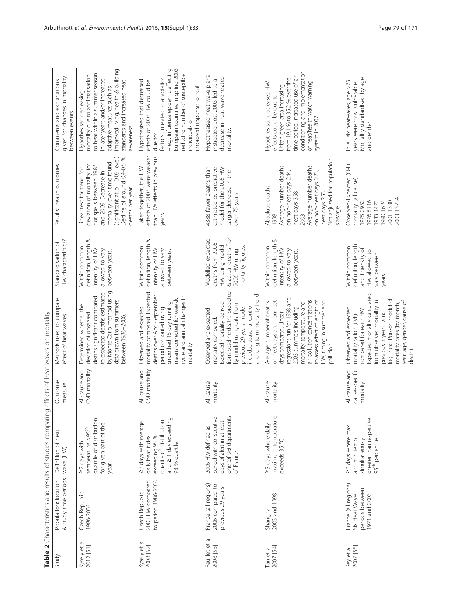<span id="page-6-0"></span>

| Study                        | Population: location<br>& study time periods                              | Definition of heat<br>wave (HW)                                                                                                       | Outcome<br>measure                           | Methods used to compare<br>effect of heat waves                                                                                                                                                                                                                                   | HW characteristics?<br>Standardisation of                                                                              | Results: health outcomes                                                                                                                                                                                                        | given for changes in mortality<br>Comments and explanations<br>between events                                                                                                                                                                                        |
|------------------------------|---------------------------------------------------------------------------|---------------------------------------------------------------------------------------------------------------------------------------|----------------------------------------------|-----------------------------------------------------------------------------------------------------------------------------------------------------------------------------------------------------------------------------------------------------------------------------------|------------------------------------------------------------------------------------------------------------------------|---------------------------------------------------------------------------------------------------------------------------------------------------------------------------------------------------------------------------------|----------------------------------------------------------------------------------------------------------------------------------------------------------------------------------------------------------------------------------------------------------------------|
| Kysely et al.<br>2012 [51]   | Czech Republic<br>1986-2006                                               | quartile of distribution<br>for given part of the<br>temperature >95 <sup>th</sup><br>22 days with<br>year                            | CVD mortality<br>All-cause and               | by Monte Carlo method using<br>to expected deaths estimated<br>deaths significant compared<br>data drawn from summers<br>Determined whether the<br>deviation of observed<br>between 1986-2006.                                                                                    | definition, length &<br>Within common<br>intensity of HW<br>allowed to vary<br>between years.                          | (significant at p = 0.05 level).<br>Decline of around 0.4-0.5 %<br>mortality over time found<br>deviation of mortality for<br>hot spells between 1986<br>Linear test for trend for<br>and 2009. Decrease in<br>deaths per year. | improved living, health & building<br>to heat within a summer season<br>mortality due to acclimatisation<br>in later years and/or increased<br>standards and increased heat<br>adaptive measures such as<br>Hypothesised decreasing<br>awareness                     |
| Kysely et al.<br>2008 [52]   | to period 1986-2006<br>2003 HW compared<br><b>Czech Republic</b>          | and $\geq 1$ day exceeding<br>quartile of distribution<br>23 days with average<br>daily heat index<br>exceeding 95 %<br>98 % quartile | CVD mortality<br>All-cause and               | mortality compared. Expected<br>deaths over April-September<br>cycle and annual changes in<br>means corrected for weekly<br>period computed using<br>smoothed 15 day running<br>Observed and expected<br>mortality.                                                               | definition, length &<br>Within common<br>intensity of HW<br>allowed to vary<br>between years.                          | effects of 2003 were weaker<br>than HW effects in previous<br>Taken together, the HW<br>years                                                                                                                                   | - e.g. influenza epidemic affecting<br>European countries in spring 2003<br>reducing number of susceptible<br>factors unrelated to adaptation<br>Hypothesised that decreased<br>effects of 2003 HW could be<br>mproved response to heat<br>individuals or<br>due to: |
| Feuillet et al.<br>2008 [53] | France (all regions)<br>2006 compared to<br>previous 29 years             | period with consecutive<br>one (of 96) departments<br>days of alert in at least<br>2006 HW defined as<br>of France                    | All-cause<br>mortality                       | from baseline deaths predicted<br>and long-term mortality trend.<br>Expected mortality derived<br>by model using data from<br>included seasonal control<br>previous 29 years: model<br>Observed and expected<br>mortality compared.                                               | & actual deaths from<br>Modelled expected<br>deaths from 2006<br>HW using model<br>mortality figures.<br>2006 HW using | estimated by predictive<br>model for the 2006 HW<br>4388 fewer deaths than<br>Larger decrease in the<br>over 75 years                                                                                                           | Hypothesised heat wave plans<br>decrease in heat wave related<br>instigated post 2003 led to a<br>mortality.                                                                                                                                                         |
| 2007 [54]<br>Tan et al.      | 2003 and 1998<br>Shanghai                                                 | maximum temperature<br>23 days where daily<br>exceeds 35 °C                                                                           | All-cause<br>mortality                       | regressions run for 1998 and<br>to assess effect of length of<br>air pollution concentrations<br>on heat days and non-heat<br>HW, timing in summer and<br>Average number of deaths<br>mortality, temperature and<br>2003 summers including<br>days compared. Linear<br>pollution. | definition, length &<br>Within common<br>intensity of HW<br>allowed to vary<br>between years.                          | Not adjusted for population<br>Average number deaths<br>Average number deaths<br>on non-heat days 223,<br>on non-heat days 244,<br>Absolute deaths:<br>heat days 358<br>heat days 253<br>size/age<br>1998:<br>2003              | conditioning and implementation<br>time period. Increased use of air<br>from 19.1 % to 35.2 % over the<br>of heat/health watch warning<br>Hypothesised decreased HW<br>Urban green area increasing<br>effects could be due to:<br>system in 2002                     |
| 2007 [55]<br>Rey et al       | France (all regions)<br>periods between<br>Six Heat Wave<br>1971 and 2003 | greater than respective<br>95 <sup>th</sup> percentile<br>23 days where max<br>simultaneously<br>and min temp                         | cause-specific<br>All-cause and<br>mortality | Expected mortality calculated<br>og-linear Poisson model of<br>from observed mortality in<br>year, age, gender, cause of<br>mortality rates (by month,<br>Observed and expected<br>compared for each HW<br>previous 3 years using<br>mortality ration (O/E)<br>death).            | definition, length<br>Within common<br>and intensity of<br>HW allowed to<br>vary between<br>years.                     | Observed-Expected (O-E)<br>mortality (all cause)<br>2003 13734<br>1976 5116<br>2001 1330<br>1975 2952<br>1983 1473<br>990 1624                                                                                                  | Mortality standardised by age<br>In all six heatwaves, age >75<br>years were most vulnerable.<br>and gender                                                                                                                                                          |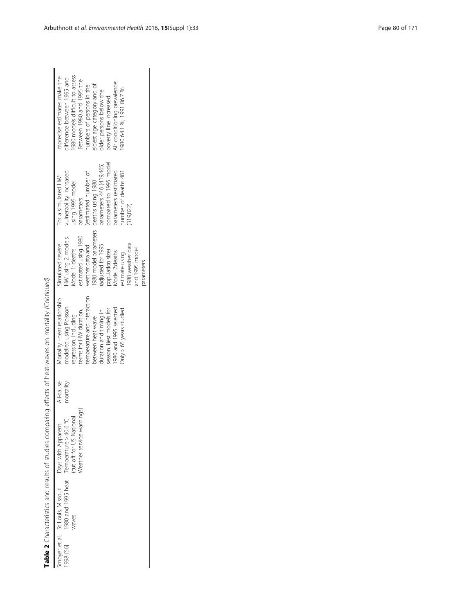| [56] 866 | Weather service warnings)<br>1980 and 1995 heat Temperature > 40.6 °C<br>waves (cut off for US National<br>Smoyer et al. St Louis, Missouri Days with Apparent | All-cause<br>mortality | <b>THE SECRET SECRET CONSISTENT OF A SECRET SECRET SECRET SECRET SECRET SECRET SECRET SECRET SECRET SECRET SECRET SECRET SECRET SECRET SECRET SECRET SECRET SECRET SECRET SECRET SECRET SECRET SECRET SECRET SECRET SECRET SECRE</b><br>temperature and interaction<br>Mortality -heat relationship<br>modelled using Poisson<br>980 and 1995 selected<br>season. Best models for<br>$Only > 65$ years studied.<br>terms for HW duration,<br>duration and timing in<br>regression, including<br>between heat wave | 980 model parameters deaths using 1980<br>estimated using 1980<br>HW using 2 models:<br>weather data and<br>980 weather data<br>Simulated severe<br>adjusted for 1995<br>and 1995 model<br>Model 1: deaths<br>oppulation size)<br><b>Model 2:deaths</b><br>estimate using | compared to 1995 model<br>parameters 446 (419,465)<br>parameters (estimated<br>vulnerability increased<br>(estimated number of<br>number of deaths 481<br>For a simulated HW:<br>using 1995 model<br>parameters<br>(319, 822) | 980 models difficult to assess<br>Imprecise estimates make the<br>ifference between 1995 and<br>Between 1980 and 1995 the<br>Air conditioning prevalence:<br>eldest age category and of<br>numbers of persons in the<br>980 64.1%, 1991 86.7%<br>older persons below the<br>poverty line increased. |
|----------|----------------------------------------------------------------------------------------------------------------------------------------------------------------|------------------------|-------------------------------------------------------------------------------------------------------------------------------------------------------------------------------------------------------------------------------------------------------------------------------------------------------------------------------------------------------------------------------------------------------------------------------------------------------------------------------------------------------------------|---------------------------------------------------------------------------------------------------------------------------------------------------------------------------------------------------------------------------------------------------------------------------|-------------------------------------------------------------------------------------------------------------------------------------------------------------------------------------------------------------------------------|-----------------------------------------------------------------------------------------------------------------------------------------------------------------------------------------------------------------------------------------------------------------------------------------------------|
|          |                                                                                                                                                                |                        |                                                                                                                                                                                                                                                                                                                                                                                                                                                                                                                   | parameters                                                                                                                                                                                                                                                                |                                                                                                                                                                                                                               |                                                                                                                                                                                                                                                                                                     |

Table 2 Characteristics and results of studies comparing effects of heat-waves on mortality (Continued)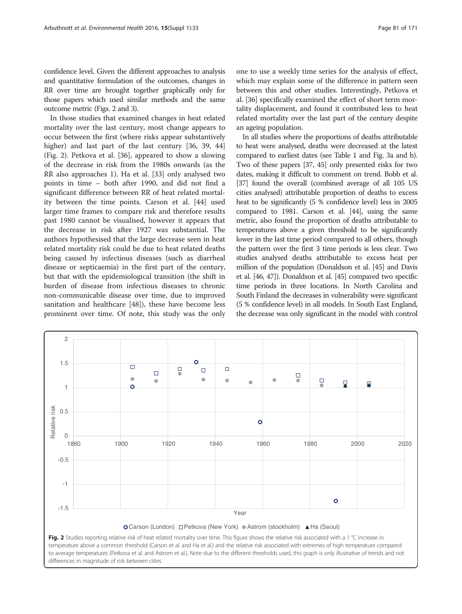<span id="page-8-0"></span>confidence level. Given the different approaches to analysis and quantitative formulation of the outcomes, changes in RR over time are brought together graphically only for those papers which used similar methods and the same outcome metric (Figs. 2 and [3\)](#page-9-0).

In those studies that examined changes in heat related mortality over the last century, most change appears to occur between the first (where risks appear substantively higher) and last part of the last century [[36, 39](#page-19-0), [44](#page-19-0)] (Fig. 2). Petkova et al. [\[36\]](#page-19-0), appeared to show a slowing of the decrease in risk from the 1980s onwards (as the RR also approaches 1). Ha et al. [\[33\]](#page-19-0) only analysed two points in time – both after 1990, and did not find a significant difference between RR of heat related mortality between the time points. Carson et al. [\[44\]](#page-19-0) used larger time frames to compare risk and therefore results past 1980 cannot be visualised, however it appears that the decrease in risk after 1927 was substantial. The authors hypothesised that the large decrease seen in heat related mortality risk could be due to heat related deaths being caused by infectious diseases (such as diarrheal disease or septicaemia) in the first part of the century, but that with the epidemiological transition (the shift in burden of disease from infectious diseases to chronic non-communicable disease over time, due to improved sanitation and healthcare [[48](#page-19-0)]), these have become less prominent over time. Of note, this study was the only one to use a weekly time series for the analysis of effect, which may explain some of the difference in pattern seen between this and other studies. Interestingly, Petkova et al. [\[36](#page-19-0)] specifically examined the effect of short term mortality displacement, and found it contributed less to heat related mortality over the last part of the century despite an ageing population.

In all studies where the proportions of deaths attributable to heat were analysed, deaths were decreased at the latest compared to earliest dates (see Table [1](#page-4-0) and Fig. [3a](#page-9-0) and [b](#page-9-0)). Two of these papers [\[37](#page-19-0), [45](#page-19-0)] only presented risks for two dates, making it difficult to comment on trend. Bobb et al. [[37](#page-19-0)] found the overall (combined average of all 105 US cities analysed) attributable proportion of deaths to excess heat to be significantly (5 % confidence level) less in 2005 compared to 1981. Carson et al. [[44](#page-19-0)], using the same metric, also found the proportion of deaths attributable to temperatures above a given threshold to be significantly lower in the last time period compared to all others, though the pattern over the first 3 time periods is less clear. Two studies analysed deaths attributable to excess heat per million of the population (Donaldson et al. [\[45\]](#page-19-0) and Davis et al. [\[46, 47](#page-19-0)]). Donaldson et al. [\[45\]](#page-19-0) compared two specific time periods in three locations. In North Carolina and South Finland the decreases in vulnerability were significant (5 % confidence level) in all models. In South East England, the decrease was only significant in the model with control

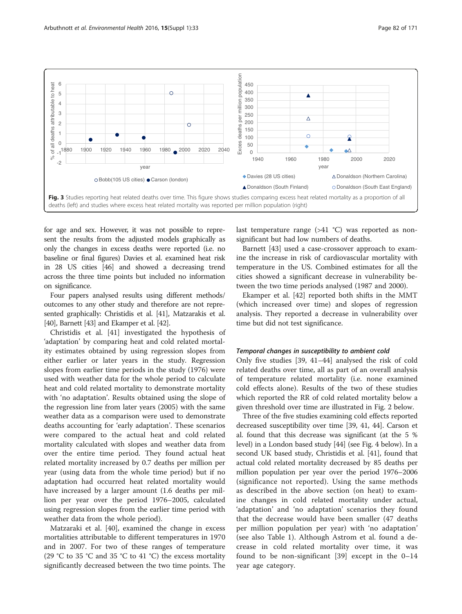<span id="page-9-0"></span>

for age and sex. However, it was not possible to represent the results from the adjusted models graphically as only the changes in excess deaths were reported (i.e. no baseline or final figures) Davies et al. examined heat risk in 28 US cities [[46\]](#page-19-0) and showed a decreasing trend across the three time points but included no information on significance.

Four papers analysed results using different methods/ outcomes to any other study and therefore are not represented graphically: Christidis et al. [\[41\]](#page-19-0), Matzarakis et al. [[40](#page-19-0)], Barnett [\[43\]](#page-19-0) and Ekamper et al. [\[42\]](#page-19-0).

Christidis et al. [[41](#page-19-0)] investigated the hypothesis of 'adaptation' by comparing heat and cold related mortality estimates obtained by using regression slopes from either earlier or later years in the study. Regression slopes from earlier time periods in the study (1976) were used with weather data for the whole period to calculate heat and cold related mortality to demonstrate mortality with 'no adaptation'. Results obtained using the slope of the regression line from later years (2005) with the same weather data as a comparison were used to demonstrate deaths accounting for 'early adaptation'. These scenarios were compared to the actual heat and cold related mortality calculated with slopes and weather data from over the entire time period. They found actual heat related mortality increased by 0.7 deaths per million per year (using data from the whole time period) but if no adaptation had occurred heat related mortality would have increased by a larger amount (1.6 deaths per million per year over the period 1976–2005, calculated using regression slopes from the earlier time period with weather data from the whole period).

Matzaraki et al. [[40\]](#page-19-0), examined the change in excess mortalities attributable to different temperatures in 1970 and in 2007. For two of these ranges of temperature (29 °C to 35 °C and 35 °C to 41 °C) the excess mortality significantly decreased between the two time points. The last temperature range (>41 °C) was reported as nonsignificant but had low numbers of deaths.

Barnett [[43\]](#page-19-0) used a case-crossover approach to examine the increase in risk of cardiovascular mortality with temperature in the US. Combined estimates for all the cities showed a significant decrease in vulnerability between the two time periods analysed (1987 and 2000).

Ekamper et al. [[42\]](#page-19-0) reported both shifts in the MMT (which increased over time) and slopes of regression analysis. They reported a decrease in vulnerability over time but did not test significance.

#### Temporal changes in susceptibility to ambient cold

Only five studies [[39, 41](#page-19-0)–[44\]](#page-19-0) analysed the risk of cold related deaths over time, all as part of an overall analysis of temperature related mortality (i.e. none examined cold effects alone). Results of the two of these studies which reported the RR of cold related mortality below a given threshold over time are illustrated in Fig. [2](#page-8-0) below.

Three of the five studies examining cold effects reported decreased susceptibility over time [\[39, 41](#page-19-0), [44\]](#page-19-0). Carson et al. found that this decrease was significant (at the 5 % level) in a London based study [\[44\]](#page-19-0) (see Fig. [4](#page-10-0) below). In a second UK based study, Christidis et al. [[41](#page-19-0)], found that actual cold related mortality decreased by 85 deaths per million population per year over the period 1976–2006 (significance not reported). Using the same methods as described in the above section (on heat) to examine changes in cold related mortality under actual, 'adaptation' and 'no adaptation' scenarios they found that the decrease would have been smaller (47 deaths per million population per year) with 'no adaptation' (see also Table [1](#page-4-0)). Although Astrom et al. found a decrease in cold related mortality over time, it was found to be non-significant [[39\]](#page-19-0) except in the 0–14 year age category.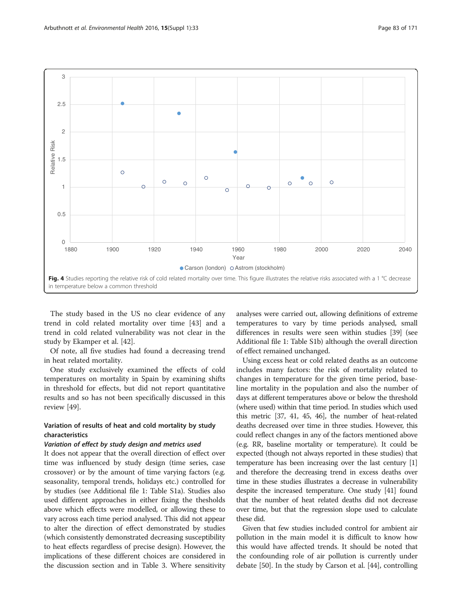<span id="page-10-0"></span>

The study based in the US no clear evidence of any trend in cold related mortality over time [[43\]](#page-19-0) and a trend in cold related vulnerability was not clear in the study by Ekamper et al. [[42\]](#page-19-0).

Of note, all five studies had found a decreasing trend in heat related mortality.

One study exclusively examined the effects of cold temperatures on mortality in Spain by examining shifts in threshold for effects, but did not report quantitative results and so has not been specifically discussed in this review [\[49](#page-19-0)].

# Variation of results of heat and cold mortality by study characteristics

# Variation of effect by study design and metrics used

It does not appear that the overall direction of effect over time was influenced by study design (time series, case crossover) or by the amount of time varying factors (e.g. seasonality, temporal trends, holidays etc.) controlled for by studies (see Additional file [1:](#page-18-0) Table S1a). Studies also used different approaches in either fixing the thesholds above which effects were modelled, or allowing these to vary across each time period analysed. This did not appear to alter the direction of effect demonstrated by studies (which consistently demonstrated decreasing susceptibility to heat effects regardless of precise design). However, the implications of these different choices are considered in the discussion section and in Table [3](#page-11-0). Where sensitivity analyses were carried out, allowing definitions of extreme temperatures to vary by time periods analysed, small differences in results were seen within studies [[39\]](#page-19-0) (see Additional file [1:](#page-18-0) Table S1b) although the overall direction of effect remained unchanged.

Using excess heat or cold related deaths as an outcome includes many factors: the risk of mortality related to changes in temperature for the given time period, baseline mortality in the population and also the number of days at different temperatures above or below the threshold (where used) within that time period. In studies which used this metric [\[37, 41](#page-19-0), [45](#page-19-0), [46\]](#page-19-0), the number of heat-related deaths decreased over time in three studies. However, this could reflect changes in any of the factors mentioned above (e.g. RR, baseline mortality or temperature). It could be expected (though not always reported in these studies) that temperature has been increasing over the last century [[1](#page-18-0)] and therefore the decreasing trend in excess deaths over time in these studies illustrates a decrease in vulnerability despite the increased temperature. One study [[41\]](#page-19-0) found that the number of heat related deaths did not decrease over time, but that the regression slope used to calculate these did.

Given that few studies included control for ambient air pollution in the main model it is difficult to know how this would have affected trends. It should be noted that the confounding role of air pollution is currently under debate [\[50\]](#page-19-0). In the study by Carson et al. [[44](#page-19-0)], controlling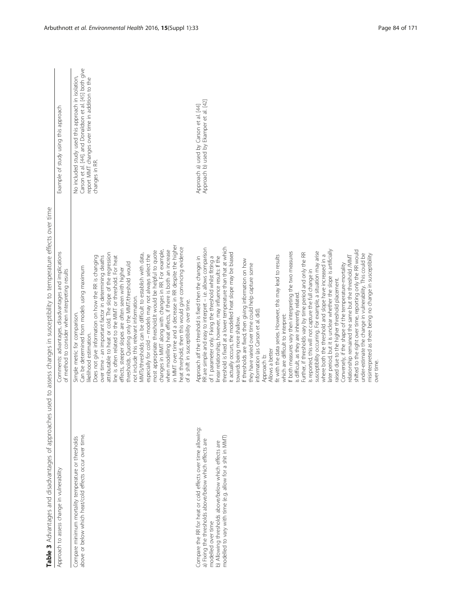<span id="page-11-0"></span>

|                                                                                                                                                                                                                                                                  | Table 3 Advantages and disadvantages of approaches used to assess changes in susceptibility to temperature effects over time                                                                                                                                                                                                                                                                                                                                                                                                                                                                                                                                                                                                                                                                                                                                                                                                                                                                                                                                                                                                                                                                                                                                                                                                                                                                                                                                                                                                |                                                                                                                                                                                    |
|------------------------------------------------------------------------------------------------------------------------------------------------------------------------------------------------------------------------------------------------------------------|-----------------------------------------------------------------------------------------------------------------------------------------------------------------------------------------------------------------------------------------------------------------------------------------------------------------------------------------------------------------------------------------------------------------------------------------------------------------------------------------------------------------------------------------------------------------------------------------------------------------------------------------------------------------------------------------------------------------------------------------------------------------------------------------------------------------------------------------------------------------------------------------------------------------------------------------------------------------------------------------------------------------------------------------------------------------------------------------------------------------------------------------------------------------------------------------------------------------------------------------------------------------------------------------------------------------------------------------------------------------------------------------------------------------------------------------------------------------------------------------------------------------------------|------------------------------------------------------------------------------------------------------------------------------------------------------------------------------------|
| Approach to assess change in vulnerability                                                                                                                                                                                                                       | Comments: advantages, disadvantages and implications<br>of method to consider when interpreting results                                                                                                                                                                                                                                                                                                                                                                                                                                                                                                                                                                                                                                                                                                                                                                                                                                                                                                                                                                                                                                                                                                                                                                                                                                                                                                                                                                                                                     | Example of study using this approach                                                                                                                                               |
| above or below which heat/cold effects occur over time.<br>Compare minimum mortality temperature or thresholds                                                                                                                                                   | in MMT over time and a decrease in RR despite the higher<br>heat threshold, then this would give convincing evidence<br>changes in MMT along with changes in RR. For example,<br>when modelling heat effects, if there is both an increase<br>most appropriate threshold.It would be helpful to quote<br>attributable to heat or cold. The slope of the regression<br>MMTs/thresholds can be difficult to establish with data,<br>especially for cold - models may not always select the<br>Does not give information on how the RR is changing<br>over time - an important factor in determining deaths<br>line is often related to the MMT or threshold. For heat<br>thresholds. Quoting only the MMT/threshold would<br>Can be determined from models using maximum<br>effects, steeper slopes are often seen with higher<br>not include this relevant information.<br>of a shift in susceptibility over time.<br>Simple metric for comparison.<br>ikelihood estimation.                                                                                                                                                                                                                                                                                                                                                                                                                                                                                                                                                 | Carson et al. [44]. and Donaldson et al. [45] both give<br>No included study used this approach in isolation,<br>report MMT changes over time in addition to the<br>changes in RR. |
| Compare the RR for heat or cold effects over time allowing:<br>modelled to vary with time (e.g. allow for a shit in MMT)<br>a) Fixing the thresholds above/below which effects are<br>b) Allowing thresholds above/below which effects are<br>modelled over time | threshold is fixed at a lower temperature than that at which<br>RR are simple and easy to interpret - i.e. allows comparison<br>later period, but it is unclear whether the slope is artificially<br>shifted to the right over time, reporting only the RR would<br>If both measures vary then interpreting the two measures<br>susceptibility occurring. For example, a situation may arise<br>it actually occurs, the modelled heat slope may be biased<br>Further, if thresholds vary by time period and only the RR<br>under-estimate the change in vulnerability. This could be<br>misinterpreted as there being no change in susceptibility<br>fit with the data series. However, this may lead to results<br>where both the threshold and slope have increased in a<br>relationship remained the same but the threshold /MMT<br>linear relationship, however, may influence results: If the<br>of 1 parameter only. Fixing the threshold whilst fitting a<br>Approach a: If the threshold is fixed then the changes in<br>If thresholds are fixed, then giving information on how<br>they have varied over time could help capture some<br>Conversely, if the shape of the temperature-mortality<br>is reported, this will not capture the full change in<br>raised due to the higher threshold placement.<br>is difficult, as they are inherently related<br>information (as Carson et al. did).<br>which are difficult to interpret:<br>towards being more shallow.<br>Allows a better<br>Approach b:<br>over time | Approach b) used by Ekamper et al. [42]<br>Approach a) used by Carson et al. [44]                                                                                                  |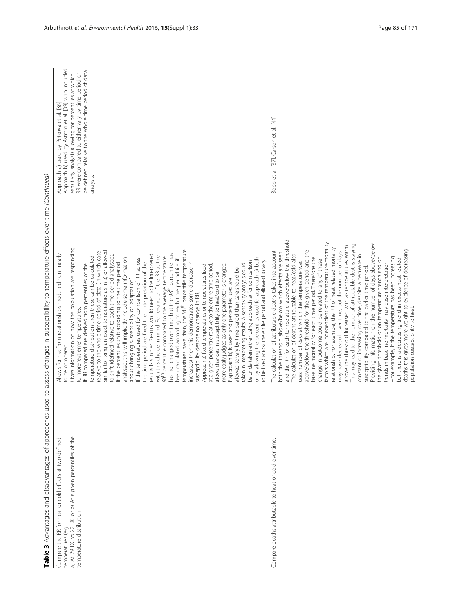| i<br>j                                                                     |  |
|----------------------------------------------------------------------------|--|
|                                                                            |  |
| $\overline{\phantom{a}}$                                                   |  |
|                                                                            |  |
| í                                                                          |  |
|                                                                            |  |
|                                                                            |  |
|                                                                            |  |
|                                                                            |  |
|                                                                            |  |
|                                                                            |  |
| $\frac{1}{2}$<br>ï                                                         |  |
| j                                                                          |  |
|                                                                            |  |
| ۱                                                                          |  |
| ì<br>l                                                                     |  |
| į<br>ţ                                                                     |  |
| l<br>l                                                                     |  |
|                                                                            |  |
|                                                                            |  |
| j                                                                          |  |
| $\overline{\phantom{a}}$                                                   |  |
|                                                                            |  |
|                                                                            |  |
|                                                                            |  |
| j                                                                          |  |
| J<br>i                                                                     |  |
|                                                                            |  |
|                                                                            |  |
|                                                                            |  |
| j<br>i<br>Ì                                                                |  |
|                                                                            |  |
|                                                                            |  |
|                                                                            |  |
| l                                                                          |  |
|                                                                            |  |
|                                                                            |  |
|                                                                            |  |
| i<br>١                                                                     |  |
| i<br>j<br>ł                                                                |  |
|                                                                            |  |
|                                                                            |  |
| ī                                                                          |  |
| i                                                                          |  |
|                                                                            |  |
| ļ                                                                          |  |
|                                                                            |  |
|                                                                            |  |
|                                                                            |  |
| i<br>l<br>j                                                                |  |
|                                                                            |  |
| j                                                                          |  |
| ï                                                                          |  |
| i                                                                          |  |
|                                                                            |  |
| ֧֖֖֖֖֖֖֖֖֖֖֧ׅ֧֪֪֪֪֪֦֧֚֚֚֚֚֚֚֚֚֚֚֚֚֬֬֝֓֬֓֬֓֬֓֬֓֬֓֬֓֬֓֬֓֬֓֬֓֬֓<br>١<br>ׇ֖֡֬֕ |  |
| ś                                                                          |  |
|                                                                            |  |
| i                                                                          |  |
|                                                                            |  |
|                                                                            |  |
|                                                                            |  |
|                                                                            |  |
| ¢                                                                          |  |
| $\overline{\phantom{a}}$<br>i                                              |  |
| ă                                                                          |  |
|                                                                            |  |

|                                                                                                                                                                       | Table 3 Advantages and disadvantages of approaches used to assess changes in susceptibility to temperature effects over time (Continued)                                                                                                                                                                                                                                                                                                                                                                                                                                                                                                                                                                                                                                                                                                                                                                                                                                                                                                                                                                                                                                                                                    |                                                                                                                                                                                                                                                                                    |
|-----------------------------------------------------------------------------------------------------------------------------------------------------------------------|-----------------------------------------------------------------------------------------------------------------------------------------------------------------------------------------------------------------------------------------------------------------------------------------------------------------------------------------------------------------------------------------------------------------------------------------------------------------------------------------------------------------------------------------------------------------------------------------------------------------------------------------------------------------------------------------------------------------------------------------------------------------------------------------------------------------------------------------------------------------------------------------------------------------------------------------------------------------------------------------------------------------------------------------------------------------------------------------------------------------------------------------------------------------------------------------------------------------------------|------------------------------------------------------------------------------------------------------------------------------------------------------------------------------------------------------------------------------------------------------------------------------------|
| a) At 29 DC vs 22 DC or b) At a given percentiles of the<br>Compare the RR for heat or cold effects at two defined<br>temperature distribution.<br>temperatures (e.g. | Gives information on how the population are responding<br>temperatures have risen, the 98 <sup>th</sup> percentile temperature<br>similar to fixing an exact temperature as in a) or allowed<br>relative to the whole time period of data (in which case<br>98 <sup>th</sup> percentile compared to the average temperature<br>has not changed over time, but the 98 <sup>th</sup> percentile has<br>results is simpler. Results would need to be interpreted<br>Allows for risk from relationships modelled non-linearly<br>to shift (defined relative to each time period analysed).<br>with this choice in mind. For example, if the RR at the<br>temperature distribution then these can be calculated<br>analysed, this will implicitly include some information<br>been calculated according to each time period (i.e. if<br>If the temperatures used for comparison of RR across<br>the time period are fixed then interpretation of the<br>increases) then this demonstrates some decrease in<br>If the percentiles shift according to the time period<br>If RR compared are derived from percentiles of the<br>about changing susceptibility or 'adaptation'<br>to more 'extreme' temperatures.<br>to be compared. | Approach b) used by Astrom et al. [39] who included<br>be defined relative to the whole time period of data<br>sensitivity analysis allowing for percentiles at which<br>RR were compared to either vary by time period or<br>Approach a) used by Petkova et al. [36]<br>analysis. |
|                                                                                                                                                                       | or by allowing the percentiles used for approach b) both<br>to be fixed across the entire period and allowed to vary.<br>be undertaken either using approach a) for comparison<br>taken in interpreting results. A sensitivity analysis could<br>more easily judged as only one parameter is changed.<br>at a given percentile relative to the entire time period,<br>Approach a) fixed temperatures or temperatures fixed<br>allowed to vary by time period, then care should be<br>allows changes in susceptibility to heat/cold to be<br>If approach b) is taken and percentiles used are<br>susceptibility despite no change in RR.                                                                                                                                                                                                                                                                                                                                                                                                                                                                                                                                                                                     |                                                                                                                                                                                                                                                                                    |
| Compare deaths attributable to heat or cold over time.                                                                                                                | and the RR for each temperature above/below the threshold.<br>factors which are independent of the temperature-mortality<br>This may lead to the number of attributable deaths staying<br>above the threshold increased with as temperatures warm.<br>relationship. For example, the RR of heat related mortality<br>above/below the threshold for the given period and the<br>The calculation of attributable deaths takes into account<br>may have decreased over time, but the number of days<br>both the threshold above/below which effects are seen<br>The calculation of deaths attributable to heat/cold also<br>baseline mortality for each time period. Therefore the<br>change in outcome could be related to any of these<br>uses number of days at which the temperature was                                                                                                                                                                                                                                                                                                                                                                                                                                   | Bobb et al. [37], Carson et al. [44]                                                                                                                                                                                                                                               |
|                                                                                                                                                                       | Providing information on the number of days above/below<br>deaths this gives more weight to evidence of decreasing<br>constant or increasing over time, despite a decrease in<br>- for example, if the temperature has been increasing<br>the given threshold or on temperature trends and on<br>but there is a decreasing trend in excess heat-related<br>trends in baseline mortality may ease interpretation<br>susceptibility compared to the earlier time period.<br>population susceptibility to heat.                                                                                                                                                                                                                                                                                                                                                                                                                                                                                                                                                                                                                                                                                                                |                                                                                                                                                                                                                                                                                    |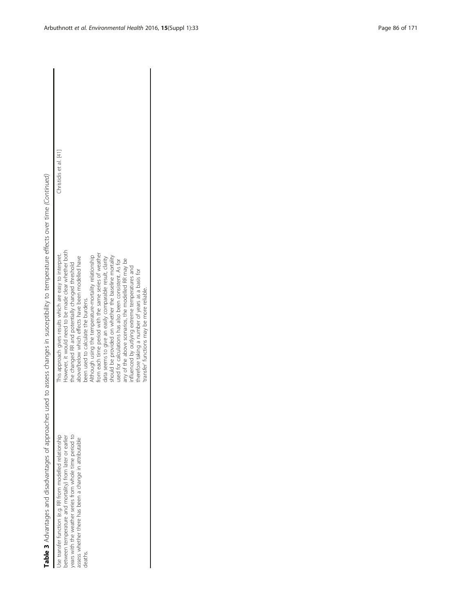|                                                                                                                                          | Christidis et al. [41]                                                                                                                                                                                                                                                                                                                                                                                                                                                                                                                                                                                                                                                                                                                                                     |
|------------------------------------------------------------------------------------------------------------------------------------------|----------------------------------------------------------------------------------------------------------------------------------------------------------------------------------------------------------------------------------------------------------------------------------------------------------------------------------------------------------------------------------------------------------------------------------------------------------------------------------------------------------------------------------------------------------------------------------------------------------------------------------------------------------------------------------------------------------------------------------------------------------------------------|
|                                                                                                                                          |                                                                                                                                                                                                                                                                                                                                                                                                                                                                                                                                                                                                                                                                                                                                                                            |
| Table 3 Advantages and disadvantages of approaches used to assess changes in susceptibility to temperature effects over time (Continued) | However, it would need to be made clear whether both<br>from each time period with the same series of weather<br>This approach gives results which are easy to interpret.<br>Although using the temperature-mortality relationship<br>above/below which effects have been modelled have<br>should be provided on whether the baseline mortality<br>data seems to give an easily comparable result, clarity<br>any of the above scenarios, the modelled RR may be<br>used for calculations has also been consistent. As for<br>the changed RR and potentially changed threshold<br>influenced by outlying extreme temperatures and<br>therefore taking a number of years as a basis for<br>transfer' functions may be more reliable.<br>been used to calculate the burdens. |
|                                                                                                                                          | Jse transfer function (e.g. RR from modelled relationship<br>S<br>between temperature and mortality) from later or earlier<br>assess whether there has been a change in attributable<br>years with the weather series from whole time period<br>deaths.                                                                                                                                                                                                                                                                                                                                                                                                                                                                                                                    |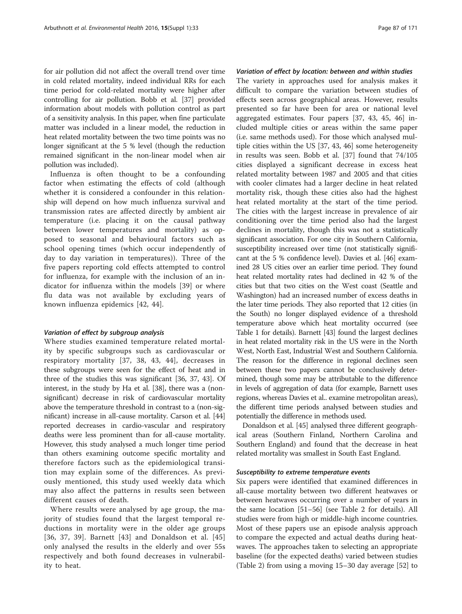for air pollution did not affect the overall trend over time in cold related mortality, indeed individual RRs for each time period for cold-related mortality were higher after controlling for air pollution. Bobb et al. [\[37\]](#page-19-0) provided information about models with pollution control as part of a sensitivity analysis. In this paper, when fine particulate matter was included in a linear model, the reduction in heat related mortality between the two time points was no longer significant at the 5 % level (though the reduction remained significant in the non-linear model when air pollution was included).

Influenza is often thought to be a confounding factor when estimating the effects of cold (although whether it is considered a confounder in this relationship will depend on how much influenza survival and transmission rates are affected directly by ambient air temperature (i.e. placing it on the causal pathway between lower temperatures and mortality) as opposed to seasonal and behavioural factors such as school opening times (which occur independently of day to day variation in temperatures)). Three of the five papers reporting cold effects attempted to control for influenza, for example with the inclusion of an indicator for influenza within the models [[39\]](#page-19-0) or where flu data was not available by excluding years of known influenza epidemics [[42, 44\]](#page-19-0).

#### Variation of effect by subgroup analysis

Where studies examined temperature related mortality by specific subgroups such as cardiovascular or respiratory mortality [[37, 38](#page-19-0), [43](#page-19-0), [44\]](#page-19-0), decreases in these subgroups were seen for the effect of heat and in three of the studies this was significant [[36, 37, 43\]](#page-19-0). Of interest, in the study by Ha et al. [[38](#page-19-0)], there was a (nonsignificant) decrease in risk of cardiovascular mortality above the temperature threshold in contrast to a (non-significant) increase in all-cause mortality. Carson et al. [[44](#page-19-0)] reported decreases in cardio-vascular and respiratory deaths were less prominent than for all-cause mortality. However, this study analysed a much longer time period than others examining outcome specific mortality and therefore factors such as the epidemiological transition may explain some of the differences. As previously mentioned, this study used weekly data which may also affect the patterns in results seen between different causes of death.

Where results were analysed by age group, the majority of studies found that the largest temporal reductions in mortality were in the older age groups [[36](#page-19-0), [37, 39](#page-19-0)]. Barnett [[43](#page-19-0)] and Donaldson et al. [[45](#page-19-0)] only analysed the results in the elderly and over 55s respectively and both found decreases in vulnerability to heat.

### Variation of effect by location: between and within studies

The variety in approaches used for analysis makes it difficult to compare the variation between studies of effects seen across geographical areas. However, results presented so far have been for area or national level aggregated estimates. Four papers [[37, 43, 45, 46\]](#page-19-0) included multiple cities or areas within the same paper (i.e. same methods used). For those which analysed multiple cities within the US [[37, 43, 46\]](#page-19-0) some heterogeneity in results was seen. Bobb et al. [[37\]](#page-19-0) found that 74/105 cities displayed a significant decrease in excess heat related mortality between 1987 and 2005 and that cities with cooler climates had a larger decline in heat related mortality risk, though these cities also had the highest heat related mortality at the start of the time period. The cities with the largest increase in prevalence of air conditioning over the time period also had the largest declines in mortality, though this was not a statistically significant association. For one city in Southern California, susceptibility increased over time (not statistically significant at the 5 % confidence level). Davies et al. [[46](#page-19-0)] examined 28 US cities over an earlier time period. They found heat related mortality rates had declined in 42 % of the cities but that two cities on the West coast (Seattle and Washington) had an increased number of excess deaths in the later time periods. They also reported that 12 cities (in the South) no longer displayed evidence of a threshold temperature above which heat mortality occurred (see Table [1](#page-4-0) for details). Barnett [\[43\]](#page-19-0) found the largest declines in heat related mortality risk in the US were in the North West, North East, Industrial West and Southern California. The reason for the difference in regional declines seen between these two papers cannot be conclusively determined, though some may be attributable to the difference in levels of aggregation of data (for example, Barnett uses regions, whereas Davies et al.. examine metropolitan areas), the different time periods analysed between studies and potentially the difference in methods used.

Donaldson et al. [[45](#page-19-0)] analysed three different geographical areas (Southern Finland, Northern Carolina and Southern England) and found that the decrease in heat related mortality was smallest in South East England.

#### Susceptibility to extreme temperature events

Six papers were identified that examined differences in all-cause mortality between two different heatwaves or between heatwaves occurring over a number of years in the same location [[51](#page-19-0)–[56\]](#page-19-0) (see Table [2](#page-6-0) for details). All studies were from high or middle-high income countries. Most of these papers use an episode analysis approach to compare the expected and actual deaths during heatwaves. The approaches taken to selecting an appropriate baseline (for the expected deaths) varied between studies (Table [2\)](#page-6-0) from using a moving 15–30 day average [\[52](#page-19-0)] to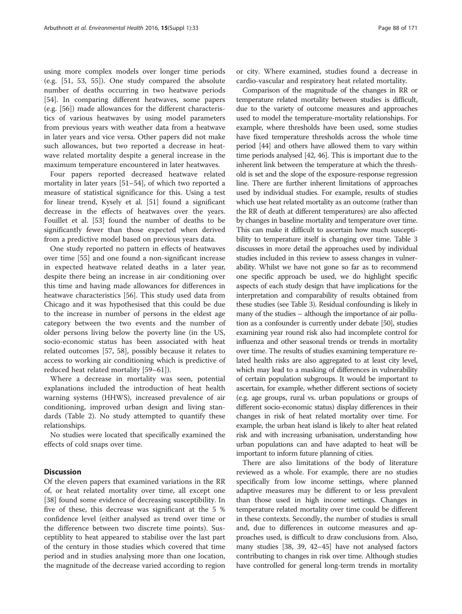using more complex models over longer time periods (e.g. [\[51, 53, 55](#page-19-0)]). One study compared the absolute number of deaths occurring in two heatwave periods [[54\]](#page-19-0). In comparing different heatwaves, some papers (e.g. [[56\]](#page-19-0)) made allowances for the different characteristics of various heatwaves by using model parameters from previous years with weather data from a heatwave in later years and vice versa. Other papers did not make such allowances, but two reported a decrease in heatwave related mortality despite a general increase in the maximum temperature encountered in later heatwaves.

Four papers reported decreased heatwave related mortality in later years [[51](#page-19-0)–[54](#page-19-0)], of which two reported a measure of statistical significance for this. Using a test for linear trend, Kysely et al. [[51\]](#page-19-0) found a significant decrease in the effects of heatwaves over the years. Fouillet et al. [\[53\]](#page-19-0) found the number of deaths to be significantly fewer than those expected when derived from a predictive model based on previous years data.

One study reported no pattern in effects of heatwaves over time [\[55\]](#page-19-0) and one found a non-significant increase in expected heatwave related deaths in a later year, despite there being an increase in air conditioning over this time and having made allowances for differences in heatwave characteristics [\[56](#page-19-0)]. This study used data from Chicago and it was hypothesised that this could be due to the increase in number of persons in the eldest age category between the two events and the number of older persons living below the poverty line (in the US, socio-economic status has been associated with heat related outcomes [\[57, 58\]](#page-20-0), possibly because it relates to access to working air conditioning which is predictive of reduced heat related mortality [[59](#page-20-0)–[61](#page-20-0)]).

Where a decrease in mortality was seen, potential explanations included the introduction of heat health warning systems (HHWS), increased prevalence of air conditioning, improved urban design and living standards (Table [2\)](#page-6-0). No study attempted to quantify these relationships.

No studies were located that specifically examined the effects of cold snaps over time.

### Discussion

Of the eleven papers that examined variations in the RR of, or heat related mortality over time, all except one [[38\]](#page-19-0) found some evidence of decreasing susceptibility. In five of these, this decrease was significant at the 5 % confidence level (either analysed as trend over time or the difference between two discrete time points). Susceptiblity to heat appeared to stabilise over the last part of the century in those studies which covered that time period and in studies analysing more than one location, the magnitude of the decrease varied according to region

or city. Where examined, studies found a decrease in cardio-vascular and respiratory heat related mortality.

Comparison of the magnitude of the changes in RR or temperature related mortality between studies is difficult, due to the variety of outcome measures and approaches used to model the temperature-mortality relationships. For example, where thresholds have been used, some studies have fixed temperature thresholds across the whole time period [\[44](#page-19-0)] and others have allowed them to vary within time periods analysed [\[42, 46](#page-19-0)]. This is important due to the inherent link between the temperature at which the threshold is set and the slope of the exposure-response regression line. There are further inherent limitations of approaches used by individual studies. For example, results of studies which use heat related mortality as an outcome (rather than the RR of death at different temperatures) are also affected by changes in baseline mortality and temperature over time. This can make it difficult to ascertain how much susceptibility to temperature itself is changing over time. Table [3](#page-11-0) discusses in more detail the approaches used by individual studies included in this review to assess changes in vulnerability. Whilst we have not gone so far as to recommend one specific approach be used, we do highlight specific aspects of each study design that have implications for the interpretation and comparability of results obtained from these studies (see Table [3](#page-11-0)). Residual confounding is likely in many of the studies – although the importance of air pollution as a confounder is currently under debate [\[50\]](#page-19-0), studies examining year round risk also had incomplete control for influenza and other seasonal trends or trends in mortality over time. The results of studies examining temperature related health risks are also aggregated to at least city level, which may lead to a masking of differences in vulnerability of certain population subgroups. It would be important to ascertain, for example, whether different sections of society (e.g. age groups, rural vs. urban populations or groups of different socio-economic status) display differences in their changes in risk of heat related mortality over time. For example, the urban heat island is likely to alter heat related risk and with increasing urbanisation, understanding how urban populations can and have adapted to heat will be important to inform future planning of cities.

There are also limitations of the body of literature reviewed as a whole. For example, there are no studies specifically from low income settings, where planned adaptive measures may be different to or less prevalent than those used in high income settings. Changes in temperature related mortality over time could be different in these contexts. Secondly, the number of studies is small and, due to differences in outcome measures and approaches used, is difficult to draw conclusions from. Also, many studies [[38](#page-19-0), [39, 42](#page-19-0)–[45\]](#page-19-0) have not analysed factors contributing to changes in risk over time. Although studies have controlled for general long-term trends in mortality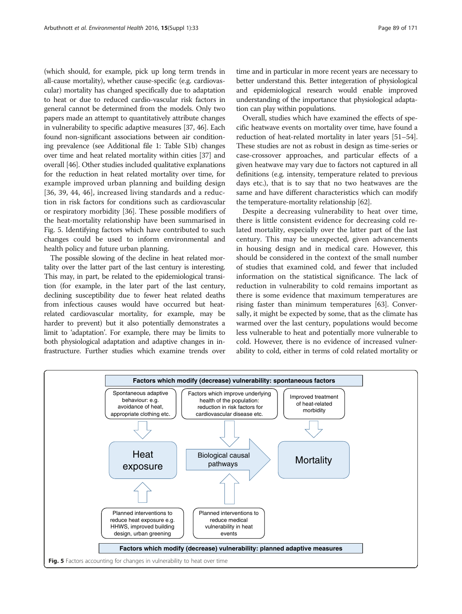(which should, for example, pick up long term trends in all-cause mortality), whether cause-specific (e.g. cardiovascular) mortality has changed specifically due to adaptation to heat or due to reduced cardio-vascular risk factors in general cannot be determined from the models. Only two papers made an attempt to quantitatively attribute changes in vulnerability to specific adaptive measures [[37](#page-19-0), [46](#page-19-0)]. Each found non-significant associations between air conditioning prevalence (see Additional file [1](#page-18-0): Table S1b) changes over time and heat related mortality within cities [\[37](#page-19-0)] and overall [\[46\]](#page-19-0). Other studies included qualitative explanations for the reduction in heat related mortality over time, for example improved urban planning and building design [[36, 39](#page-19-0), [44](#page-19-0), [46\]](#page-19-0), increased living standards and a reduction in risk factors for conditions such as cardiovascular or respiratory morbidity [[36\]](#page-19-0). These possible modifiers of the heat-mortality relationship have been summarised in Fig. 5. Identifying factors which have contributed to such changes could be used to inform environmental and health policy and future urban planning.

The possible slowing of the decline in heat related mortality over the latter part of the last century is interesting. This may, in part, be related to the epidemiological transition (for example, in the later part of the last century, declining susceptibility due to fewer heat related deaths from infectious causes would have occurred but heatrelated cardiovascular mortality, for example, may be harder to prevent) but it also potentially demonstrates a limit to 'adaptation'. For example, there may be limits to both physiological adaptation and adaptive changes in infrastructure. Further studies which examine trends over

time and in particular in more recent years are necessary to better understand this. Better integeration of physiological and epidemiological research would enable improved understanding of the importance that physiological adaptation can play within populations.

Overall, studies which have examined the effects of specific heatwave events on mortality over time, have found a reduction of heat-related mortality in later years [\[51](#page-19-0)–[54](#page-19-0)]. These studies are not as robust in design as time-series or case-crossover approaches, and particular effects of a given heatwave may vary due to factors not captured in all definitions (e.g. intensity, temperature related to previous days etc.), that is to say that no two heatwaves are the same and have different characteristics which can modify the temperature-mortality relationship [\[62](#page-20-0)].

Despite a decreasing vulnerability to heat over time, there is little consistent evidence for decreasing cold related mortality, especially over the latter part of the last century. This may be unexpected, given advancements in housing design and in medical care. However, this should be considered in the context of the small number of studies that examined cold, and fewer that included information on the statistical significance. The lack of reduction in vulnerability to cold remains important as there is some evidence that maximum temperatures are rising faster than minimum temperatures [\[63](#page-20-0)]. Conversally, it might be expected by some, that as the climate has warmed over the last century, populations would become less vulnerable to heat and potentially more vulnerable to cold. However, there is no evidence of increased vulnerability to cold, either in terms of cold related mortality or

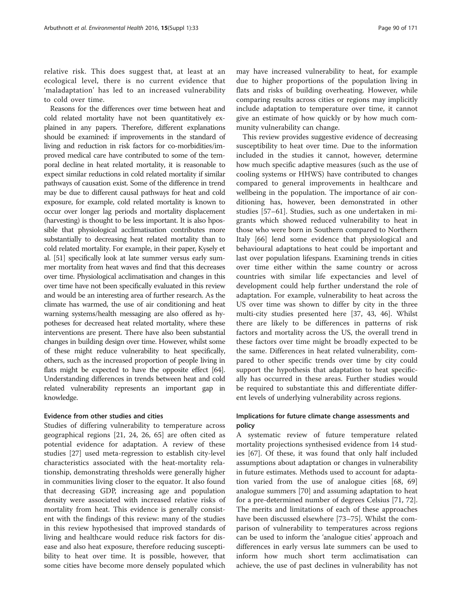relative risk. This does suggest that, at least at an ecological level, there is no current evidence that 'maladaptation' has led to an increased vulnerability to cold over time.

Reasons for the differences over time between heat and cold related mortality have not been quantitatively explained in any papers. Therefore, different explanations should be examined: if improvements in the standard of living and reduction in risk factors for co-morbidities/improved medical care have contributed to some of the temporal decline in heat related mortality, it is reasonable to expect similar reductions in cold related mortality if similar pathways of causation exist. Some of the difference in trend may be due to different causal pathways for heat and cold exposure, for example, cold related mortality is known to occur over longer lag periods and mortality displacement (harvesting) is thought to be less important. It is also hpossible that physiological acclimatisation contributes more substantially to decreasing heat related mortality than to cold related mortality. For example, in their paper, Kysely et al. [\[51](#page-19-0)] specifically look at late summer versus early summer mortality from heat waves and find that this decreases over time. Physiological acclimatisation and changes in this over time have not been specifically evaluated in this review and would be an interesting area of further research. As the climate has warmed, the use of air conditioning and heat warning systems/health messaging are also offered as hypotheses for decreased heat related mortality, where these interventions are present. There have also been substantial changes in building design over time. However, whilst some of these might reduce vulnerability to heat specifically, others, such as the increased proportion of people living in flats might be expected to have the opposite effect [\[64](#page-20-0)]. Understanding differences in trends between heat and cold related vulnerability represents an important gap in knowledge.

## Evidence from other studies and cities

Studies of differing vulnerability to temperature across geographical regions [[21](#page-19-0), [24, 26](#page-19-0), [65](#page-20-0)] are often cited as potential evidence for adaptation. A review of these studies [\[27](#page-19-0)] used meta-regression to establish city-level characteristics associated with the heat-mortality relationship, demonstrating thresholds were generally higher in communities living closer to the equator. It also found that decreasing GDP, increasing age and population density were associated with increased relative risks of mortality from heat. This evidence is generally consistent with the findings of this review: many of the studies in this review hypothesised that improved standards of living and healthcare would reduce risk factors for disease and also heat exposure, therefore reducing susceptibility to heat over time. It is possible, however, that some cities have become more densely populated which

may have increased vulnerability to heat, for example due to higher proportions of the population living in flats and risks of building overheating. However, while comparing results across cities or regions may implicitly include adaptation to temperature over time, it cannot give an estimate of how quickly or by how much community vulnerability can change.

This review provides suggestive evidence of decreasing susceptibility to heat over time. Due to the information included in the studies it cannot, however, determine how much specific adaptive measures (such as the use of cooling systems or HHWS) have contributed to changes compared to general improvements in healthcare and wellbeing in the population. The importance of air conditioning has, however, been demonstrated in other studies [[57](#page-20-0)–[61](#page-20-0)]. Studies, such as one undertaken in migrants which showed reduced vulnerability to heat in those who were born in Southern compared to Northern Italy [[66](#page-20-0)] lend some evidence that physiological and behavioural adaptations to heat could be important and last over population lifespans. Examining trends in cities over time either within the same country or across countries with similar life expectancies and level of development could help further understand the role of adaptation. For example, vulnerability to heat across the US over time was shown to differ by city in the three multi-city studies presented here [[37](#page-19-0), [43, 46](#page-19-0)]. Whilst there are likely to be differences in patterns of risk factors and mortality across the US, the overall trend in these factors over time might be broadly expected to be the same. Differences in heat related vulnerability, compared to other specific trends over time by city could support the hypothesis that adaptation to heat specifically has occurred in these areas. Further studies would be required to substantiate this and differentiate different levels of underlying vulnerability across regions.

# Implications for future climate change assessments and policy

A systematic review of future temperature related mortality projections synthesised evidence from 14 studies [[67\]](#page-20-0). Of these, it was found that only half included assumptions about adaptation or changes in vulnerability in future estimates. Methods used to account for adaptation varied from the use of analogue cities [[68, 69](#page-20-0)] analogue summers [[70\]](#page-20-0) and assuming adaptation to heat for a pre-determined number of degrees Celsius [\[71](#page-20-0), [72](#page-20-0)]. The merits and limitations of each of these approaches have been discussed elsewhere [[73](#page-20-0)–[75](#page-20-0)]. Whilst the comparison of vulnerability to temperatures across regions can be used to inform the 'analogue cities' approach and differences in early versus late summers can be used to inform how much short term acclimatisation can achieve, the use of past declines in vulnerability has not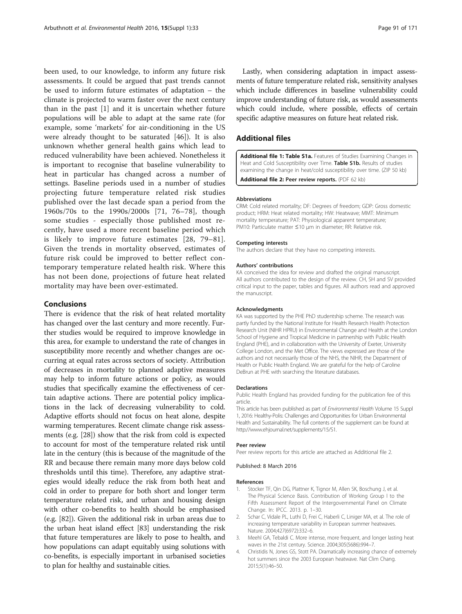<span id="page-18-0"></span>been used, to our knowledge, to inform any future risk assessments. It could be argued that past trends cannot be used to inform future estimates of adaptation – the climate is projected to warm faster over the next century than in the past [1] and it is uncertain whether future populations will be able to adapt at the same rate (for example, some 'markets' for air-conditioning in the US were already thought to be saturated [[46](#page-19-0)]). It is also unknown whether general health gains which lead to reduced vulnerability have been achieved. Nonetheless it is important to recognise that baseline vulnerability to heat in particular has changed across a number of settings. Baseline periods used in a number of studies projecting future temperature related risk studies published over the last decade span a period from the 1960s/70s to the 1990s/2000s [[71](#page-20-0), [76](#page-20-0)–[78](#page-20-0)], though some studies - especially those published most recently, have used a more recent baseline period which is likely to improve future estimates [\[28](#page-19-0), [79](#page-20-0)–[81](#page-20-0)]. Given the trends in mortality observed, estimates of future risk could be improved to better reflect contemporary temperature related health risk. Where this has not been done, projections of future heat related mortality may have been over-estimated.

# Conclusions

There is evidence that the risk of heat related mortality has changed over the last century and more recently. Further studies would be required to improve knowledge in this area, for example to understand the rate of changes in susceptibility more recently and whether changes are occurring at equal rates across sectors of society. Attribution of decreases in mortality to planned adaptive measures may help to inform future actions or policy, as would studies that specifically examine the effectiveness of certain adaptive actions. There are potential policy implications in the lack of decreasing vulnerability to cold. Adaptive efforts should not focus on heat alone, despite warming temperatures. Recent climate change risk assessments (e.g. [\[28\]](#page-19-0)) show that the risk from cold is expected to account for most of the temperature related risk until late in the century (this is because of the magnitude of the RR and because there remain many more days below cold thresholds until this time). Therefore, any adaptive strategies would ideally reduce the risk from both heat and cold in order to prepare for both short and longer term temperature related risk, and urban and housing design with other co-benefits to health should be emphasised (e.g. [\[82\]](#page-20-0)). Given the additional risk in urban areas due to the urban heat island effect [[83](#page-20-0)] understanding the risk that future temperatures are likely to pose to health, and how populations can adapt equitably using solutions with co-benefits, is especially important in urbanised societies to plan for healthy and sustainable cities.

Lastly, when considering adaptation in impact assessments of future temperature related risk, sensitivity analyses which include differences in baseline vulnerability could improve understanding of future risk, as would assessments which could include, where possible, effects of certain specific adaptive measures on future heat related risk.

# Additional files

[Additional file 1: Table S1a.](dx.doi.org/10.1186/s12940-016-0102-7) Features of Studies Examining Changes in Heat and Cold Susceptibility over Time. Table S1b. Results of studies examining the change in heat/cold susceptibility over time. (ZIP 50 kb) [Additional file 2:](dx.doi.org/10.1186/s12940-016-0102-7) Peer review reports. (PDF 62 kb)

#### Abbreviations

CRM: Cold related mortality; DF: Degrees of freedom; GDP: Gross domestic product; HRM: Heat related mortality; HW: Heatwave; MMT: Minimum mortality temperature; PAT: Physiological apparent temperature; PM10: Particulate matter ≤10 μm in diameter; RR: Relative risk.

#### Competing interests

The authors declare that they have no competing interests.

#### Authors' contributions

KA conceived the idea for review and drafted the original manuscript. All authors contributed to the design of the review. CH, SH and SV provided critical input to the paper, tables and figures. All authors read and approved the manuscript.

#### Acknowledgments

KA was supported by the PHE PhD studentship scheme. The research was partly funded by the National Institute for Health Research Health Protection Research Unit (NIHR HPRU) in Environmental Change and Health at the London School of Hygiene and Tropical Medicine in partnership with Public Health England (PHE), and in collaboration with the University of Exeter, University College London, and the Met Office. The views expressed are those of the authors and not necessarily those of the NHS, the NIHR, the Department of Health or Public Health England. We are grateful for the help of Caroline DeBrun at PHE with searching the literature databases.

#### Declarations

Public Health England has provided funding for the publication fee of this article.

This article has been published as part of Environmental Health Volume 15 Suppl 1, 2016: Healthy-Polis: Challenges and Opportunities for Urban Environmental Health and Sustainability. The full contents of the supplement can be found at <http://www.ehjournal.net/supplements/15/S1>.

#### Peer review

Peer review reports for this article are attached as Additional file 2.

#### Published: 8 March 2016

#### References

- Stocker TF, Qin DG, Plattner K, Tignor M, Allen SK, Boschung J, et al. The Physical Science Basis. Contribution of Working Group I to the Fifth Assessment Report of the Intergovernmental Panel on Climate Change. In: IPCC. 2013. p. 1–30.
- 2. Schar C, Vidale PL, Luthi D, Frei C, Haberli C, Liniger MA, et al. The role of increasing temperature variability in European summer heatwaves. Nature. 2004;427(6972):332–6.
- 3. Meehl GA, Tebaldi C. More intense, more frequent, and longer lasting heat waves in the 21st century. Science. 2004;305(5686):994–7.
- 4. Christidis N, Jones GS, Stott PA. Dramatically increasing chance of extremely hot summers since the 2003 European heatwave. Nat Clim Chang. 2015;5(1):46–50.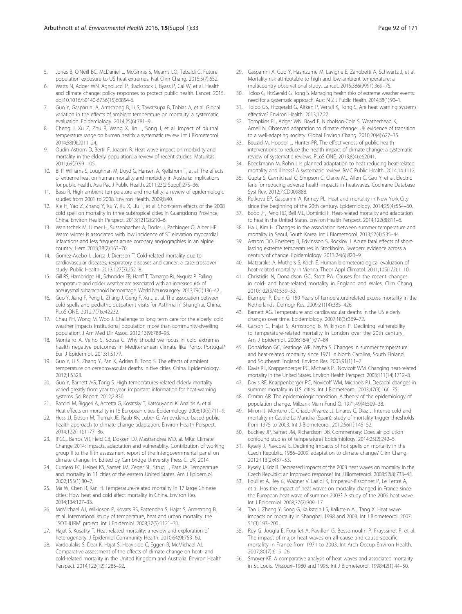- <span id="page-19-0"></span>5. Jones B, O'Neill BC, McDaniel L, McGinnis S, Mearns LO, Tebaldi C. Future population exposure to US heat extremes. Nat Clim Chang. 2015;5(7):652.
- 6. Watts N, Adger WN, Agnolucci P, Blackstock J, Byass P, Cai W, et al. Health and climate change: policy responses to protect public health. Lancet. 2015. doi[:10.1016/S0140-6736\(15\)60854-6.](http://dx.doi.org/10.1016/S0140-6736(15)60854-6)
- 7. Guo Y, Gasparrini A, Armstrong B, Li S, Tawatsupa B, Tobias A, et al. Global variation in the effects of ambient temperature on mortality: a systematic evaluation. Epidemiology. 2014;25(6):781–9.
- 8. Cheng J, Xu Z, Zhu R, Wang X, Jin L, Song J, et al. Impact of diurnal temperature range on human health: a systematic review. Int J Biometeorol. 2014;58(9):2011–24.
- 9. Oudin Astrom D, Bertil F, Joacim R. Heat wave impact on morbidity and mortality in the elderly population: a review of recent studies. Maturitas. 2011;69(2):99–105.
- 10. Bi P, Williams S, Loughnan M, Lloyd G, Hansen A, Kjellstrom T, et al. The effects of extreme heat on human mortality and morbidity in Australia: implications for public health. Asia Pac J Public Health. 2011;23(2 Suppl):27S–36.
- 11. Basu R. High ambient temperature and mortality: a review of epidemiologic studies from 2001 to 2008. Environ Health. 2009;8:40.
- 12. Xie H, Yao Z, Zhang Y, Xu Y, Xu X, Liu T, et al. Short-term effects of the 2008 cold spell on mortality in three subtropical cities in Guangdong Province, China. Environ Health Perspect. 2013;121(2):210–6.
- 13. Wanitschek M, Ulmer H, Sussenbacher A, Dorler J, Pachinger O, Alber HF. Warm winter is associated with low incidence of ST elevation myocardial infarctions and less frequent acute coronary angiographies in an alpine country. Herz. 2013;38(2):163–70.
- 14. Gomez-Acebo I, Llorca J, Dierssen T. Cold-related mortality due to cardiovascular diseases, respiratory diseases and cancer: a case-crossover study. Public Health. 2013;127(3):252–8.
- 15. Gill RS, Hambridge HL, Schneider EB, Hanff T, Tamargo RJ, Nyquist P. Falling temperature and colder weather are associated with an increased risk of aneurysmal subarachnoid hemorrhage. World Neurosurgery. 2013;79(1):136–42.
- 16. Guo Y, Jiang F, Peng L, Zhang J, Geng F, Xu J, et al. The association between cold spells and pediatric outpatient visits for Asthma in Shanghai, China. PLoS ONE. 2012;7(7):e42232.
- 17. Chau PH, Wong M, Woo J. Challenge to long term care for the elderly: cold weather impacts institutional population more than community-dwelling population. J Am Med Dir Assoc. 2012;13(9):788–93.
- 18. Monteiro A, Velho S, Sousa C. Why should we focus in cold extremes health negative outcomes in Mediterranean climate like Porto, Portugal? Eur J Epidemiol. 2013;1:S177.
- 19. Guo Y, Li S, Zhang Y, Pan X, Adrian B, Tong S. The effects of ambient temperature on cerebrovascular deaths in five cities, China. Epidemiology. 2012;1:S323.
- 20. Guo Y, Barnett AG, Tong S. High temperatures-related elderly mortality varied greatly from year to year: important information for heat-warning systems. Sci Report. 2012;2:830.
- 21. Baccini M, Biggeri A, Accetta G, Kosatsky T, Katsouyanni K, Analitis A, et al. Heat effects on mortality in 15 European cities. Epidemiology. 2008;19(5):711–9.
- 22. Hess JJ, Eidson M, Tlumak JE, Raab KK, Luber G. An evidence-based public health approach to climate change adaptation. Environ Health Perspect. 2014;122(11):1177–86.
- 23. IPCC., Barros VR, Field CB, Dokken DJ, Mastrandrea MD, al. MKe: Climate Change 2014: impacts, adaptation and vulnerablity. Contribution of working group II to the fifth assessment report of the Intergovernmental panel on climate change. In. Edited by Cambridge University Press C, UK; 2014.
- 24. Curriero FC, Heiner KS, Samet JM, Zeger SL, Strug L, Patz JA. Temperature and mortality in 11 cities of the eastern United States. Am J Epidemiol. 2002;155(1):80–7.
- 25. Ma W, Chen R, Kan H. Temperature-related mortality in 17 large Chinese cities: How heat and cold affect mortality in China. Environ Res. 2014;134:127–33.
- 26. McMichael AJ, Wilkinson P, Kovats RS, Pattenden S, Hajat S, Armstrong B, et al. International study of temperature, heat and urban mortality: the 'ISOTHURM' project. Int J Epidemiol. 2008;37(5):1121–31.
- 27. Hajat S, Kosatky T. Heat-related mortality: a review and exploration of heterogeneity. J Epidemiol Community Health. 2010;64(9):753–60.
- 28. Vardoulakis S, Dear K, Hajat S, Heaviside C, Eggen B, McMichael AJ. Comparative assessment of the effects of climate change on heat- and cold-related mortality in the United Kingdom and Australia. Environ Health Perspect. 2014;122(12):1285–92.
- 29. Gasparrini A, Guo Y, Hashizume M, Lavigne E, Zanobetti A, Schwartz J, et al. Mortality risk attributable to high and low ambient temperature: a multicountry observational study. Lancet. 2015;386(9991):369–75.
- 30. Toloo G, FitzGerald G, Tong S. Managing health risks of extreme weather events: need for a systematic approach. Aust N Z J Public Health. 2014;38(1):90–1.
- 31. Toloo GS, Fitzgerald G, Aitken P, Verrall K, Tong S. Are heat warning systems effective? Environ Health. 2013;12:27.
- 32. Tompkins EL, Adger WN, Boyd E, Nicholson-Cole S, Weatherhead K, Arnell N. Observed adaptation to climate change: UK evidence of transition to a well-adapting society. Global Environ Chang. 2010;20(4):627–35.
- 33. Bouzid M, Hooper L, Hunter PR. The effectiveness of public health interventions to reduce the health impact of climate change: a systematic review of systematic reviews. PLoS ONE. 2013;8(4):e62041.
- 34. Boeckmann M, Rohn I. Is planned adaptation to heat reducing heat-related mortality and illness? A systematic review. BMC Public Health. 2014;14:1112.
- 35. Gupta S, Carmichael C, Simpson C, Clarke MJ, Allen C, Gao Y, et al. Electric fans for reducing adverse health impacts in heatwaves. Cochrane Database Syst Rev. 2012;7:CD009888.
- 36. Petkova EP, Gasparrini A, Kinney PL. Heat and mortality in New York City since the beginning of the 20th century. Epidemiology. 2014;25(4):554–60.
- 37. Bobb JF, Peng RD, Bell ML, Dominici F. Heat-related mortality and adaptation to heat in the United States. Environ Health Perspect. 2014;122(8):811–6.
- 38. Ha J, Kim H. Changes in the association between summer temperature and mortality in Seoul, South Korea. Int J Biometeorol. 2013;57(4):535–44.
- Astrom DO, Forsberg B, Edvinsson S, Rocklov J. Acute fatal effects of shortlasting extreme temperatures in Stockholm, Sweden: evidence across a century of change. Epidemiology. 2013;24(6):820–9.
- 40. Matzarakis A, Muthers S, Koch E. Human biometeorological evaluation of heat-related mortality in Vienna. Theor Appl Climatol. 2011;105(1/2):1–10.
- 41. Christidis N, Donaldson GC, Stott PA. Causes for the recent changes in cold- and heat-related mortality in England and Wales. Clim Chang. 2010;102(3/4):539–53.
- 42. Ekamper P, Duin G. 150 Years of temperature-related excess mortality in the Netherlands. Demogr Res. 2009;21(14):385–426.
- 43. Barnett AG. Temperature and cardiovascular deaths in the US elderly: changes over time. Epidemiology. 2007;18(3):369–72.
- 44. Carson C, Hajat S, Armstrong B, Wilkinson P. Declining vulnerability to temperature-related mortality in London over the 20th century. Am J Epidemiol. 2006;164(1):77–84.
- 45. Donaldson GC, Keatinge WR, Nayha S. Changes in summer temperature and heat-related mortality since 1971 in North Carolina, South Finland, and Southeast England. Environ Res. 2003;91(1):1–7.
- 46. Davis RE, Knappenberger PC, Michaels PJ, Novicoff WM. Changing heat-related mortality in the United States. Environ Health Perspect. 2003;111(14):1712–8.
- 47. Davis RE, Knappenberger PC, Novicoff WM, Michaels PJ. Decadal changes in summer mortality in U.S. cities. Int J Biometeorol. 2003;47(3):166–75.
- 48. Omran AR. The epidemiologic transition. A theory of the epidemiology of population change. Milbank Mem Fund Q. 1971;49(4):509–38.
- 49. Miron IJ, Montero JC, Criado-Alvarez JJ, Linares C, Diaz J. Intense cold and mortality in Castile-La Mancha (Spain): study of mortality trigger thresholds from 1975 to 2003. Int J Biometeorol. 2012;56(1):145–52.
- 50. Buckley JP, Samet JM, Richardson DB. Commentary: Does air pollution confound studies of temperature? Epidemiology. 2014;25(2):242–5.
- 51. Kyselý J, Plavcová E. Declining impacts of hot spells on mortality in the Czech Republic, 1986–2009: adaptation to climate change? Clim Chang. 2012;113(2):437–53.
- 52. Kysely J, Kriz B. Decreased impacts of the 2003 heat waves on mortality in the Czech Republic: an improved response? Int J Biometeorol. 2008;52(8):733–45.
- 53. Fouillet A, Rey G, Wagner V, Laaidi K, Empereur-Bissonnet P, Le Tertre A, et al. Has the impact of heat waves on mortality changed in France since the European heat wave of summer 2003? A study of the 2006 heat wave. Int J Epidemiol. 2008;37(2):309–17.
- 54. Tan J, Zheng Y, Song G, Kalkstein LS, Kalkstein AJ, Tang X. Heat wave impacts on mortality in Shanghai, 1998 and 2003. Int J Biometeorol. 2007; 51(3):193–200.
- 55. Rey G, Jougla E, Fouillet A, Pavillon G, Bessemoulin P, Frayssinet P, et al. The impact of major heat waves on all-cause and cause-specific mortality in France from 1971 to 2003. Int Arch Occup Environ Health. 2007;80(7):615–26.
- 56. Smoyer KE. A comparative analysis of heat waves and associated mortality in St. Louis, Missouri–1980 and 1995. Int J Biometeorol. 1998;42(1):44–50.